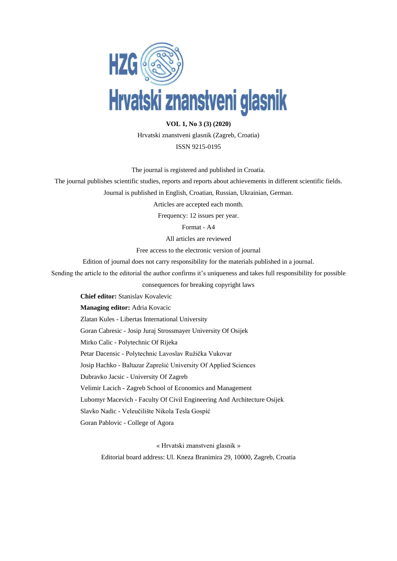

**VOL 1, No 3 (3) (2020)** Hrvatski znanstveni glasnik (Zagreb, Croatia) ISSN 9215-0195

The journal is registered and published in Croatia.

The journal publishes scientific studies, reports and reports about achievements in different scientific fields.

Journal is published in English, Croatian, Russian, Ukrainian, German.

Articles are accepted each month.

Frequency: 12 issues per year.

Format - A4

All articles are reviewed

Free access to the electronic version of journal

Edition of journal does not carry responsibility for the materials published in a journal.

Sending the article to the editorial the author confirms it's uniqueness and takes full responsibility for possible

consequences for breaking copyright laws

**Chief editor:** Stanislav Kovalevic

**Managing editor:** Adria Kovacic

Zlatan Kules - Libertas International University

Goran Cabresic - Josip Juraj Strossmayer University Of Osijek

Mirko Calic - Polytechnic Of Rijeka

Petar Dacensic - Polytechnic Lavoslav Ružička Vukovar

Josip Hachko - Baltazar Zaprešić University Of Applied Sciences

Dubravko Jacsic - University Of Zagreb

Velimir Lacich - Zagreb School of Economics and Management

Lubomyr Macevich - Faculty Of Civil Engineering And Architecture Osijek

Slavko Nadic - Veleučilište Nikola Tesla Gospić

Goran Pablovic - College of Agora

« Hrvatski znanstveni glasnik » Editorial board address: Ul. Kneza Branimira 29, 10000, Zagreb, Croatia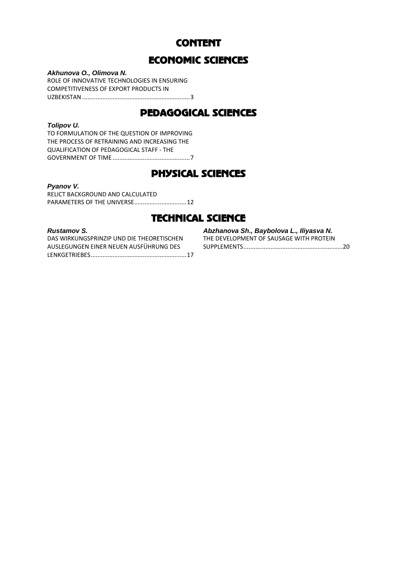# CONTENT

## ECONOMIC SCIENCES

## *Akhunova O., Olimova N.*

ROLE OF INNOVATIVE TECHNOLOGIES IN ENSURING COMPETITIVENESS OF EXPORT PRODUCTS IN UZBEKISTAN ................................................................3

# PEDAGOGICAL SCIENCES

## *Tolipov U.*

TO FORMULATION OF THE QUESTION OF IMPROVING THE PROCESS OF RETRAINING AND INCREASING THE QUALIFICATION OF PEDAGOGICAL STAFF - THE GOVERNMENT OF TIME ..............................................7

# PHYSICAL SCIENCES

## *Pyanov V.*

RELICT BACKGROUND AND CALCULATED PARAMETERS OF THE UNIVERSE...............................12

# TECHNICAL SCIENCE

## *Rustamov S.*

DAS WIRKUNGSPRINZIP UND DIE THEORETISCHEN AUSLEGUNGEN EINER NEUEN AUSFÜHRUNG DES LENKGETRIEBES.........................................................17

| Abzhanova Sh., Baybolova L., Iliyasva N. |  |
|------------------------------------------|--|
| THE DEVELOPMENT OF SAUSAGE WITH PROTEIN  |  |
|                                          |  |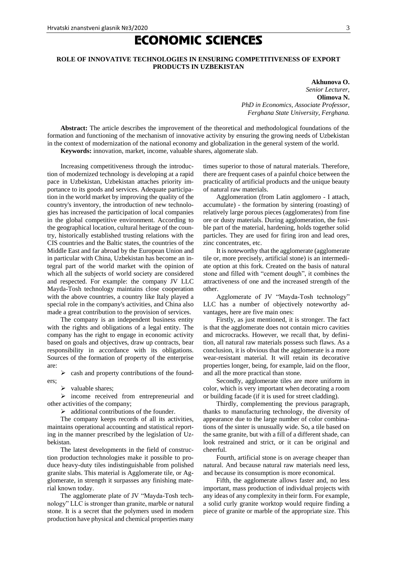# ECONOMIC SCIENCES

## **ROLE OF INNOVATIVE TECHNOLOGIES IN ENSURING COMPETITIVENESS OF EXPORT PRODUCTS IN UZBEKISTAN**

**Akhunova O.** *Senior Lecturer,* **Olimova N.**  *PhD in Economics, Associate Professor, Ferghana State University, Ferghana.*

**Abstract:** The article describes the improvement of the theoretical and methodological foundations of the formation and functioning of the mechanism of innovative activity by ensuring the growing needs of Uzbekistan in the context of modernization of the national economy and globalization in the general system of the world. **Keywords:** innovation, market, income, valuable shares, algomerate slab.

Increasing competitiveness through the introduction of modernized technology is developing at a rapid pace in Uzbekistan, Uzbekistan attaches priority importance to its goods and services. Adequate participation in the world market by improving the quality of the country's inventory, the introduction of new technologies has increased the participation of local companies in the global competitive environment. According to the geographical location, cultural heritage of the country, historically established trusting relations with the CIS countries and the Baltic states, the countries of the Middle East and far abroad by the European Union and in particular with China, Uzbekistan has become an integral part of the world market with the opinion of which all the subjects of world society are considered and respected. For example: the company JV LLC Mayda-Tosh technology maintains close cooperation with the above countries, a country like Italy played a special role in the company's activities, and China also made a great contribution to the provision of services.

The company is an independent business entity with the rights and obligations of a legal entity. The company has the right to engage in economic activity based on goals and objectives, draw up contracts, bear responsibility in accordance with its obligations. Sources of the formation of property of the enterprise are:

 cash and property contributions of the founders;

valuable shares;

 $\triangleright$  income received from entrepreneurial and other activities of the company;

 $\triangleright$  additional contributions of the founder.

The company keeps records of all its activities, maintains operational accounting and statistical reporting in the manner prescribed by the legislation of Uzbekistan.

The latest developments in the field of construction production technologies make it possible to produce heavy-duty tiles indistinguishable from polished granite slabs. This material is Agglomerate tile, or Agglomerate, in strength it surpasses any finishing material known today.

The agglomerate plate of JV "Mayda-Tosh technology" LLC is stronger than granite, marble or natural stone. It is a secret that the polymers used in modern production have physical and chemical properties many times superior to those of natural materials. Therefore, there are frequent cases of a painful choice between the practicality of artificial products and the unique beauty of natural raw materials.

Agglomeration (from Latin agglomero - I attach, accumulate) - the formation by sintering (roasting) of relatively large porous pieces (agglomerates) from fine ore or dusty materials. During agglomeration, the fusible part of the material, hardening, holds together solid particles. They are used for firing iron and lead ores, zinc concentrates, etc.

It is noteworthy that the agglomerate (agglomerate tile or, more precisely, artificial stone) is an intermediate option at this fork. Created on the basis of natural stone and filled with "cement dough", it combines the attractiveness of one and the increased strength of the other.

Agglomerate of JV "Mayda-Tosh technology" LLC has a number of objectively noteworthy advantages, here are five main ones:

Firstly, as just mentioned, it is stronger. The fact is that the agglomerate does not contain micro cavities and microcracks. However, we recall that, by definition, all natural raw materials possess such flaws. As a conclusion, it is obvious that the agglomerate is a more wear-resistant material. It will retain its decorative properties longer, being, for example, laid on the floor, and all the more practical than stone.

Secondly, agglomerate tiles are more uniform in color, which is very important when decorating a room or building facade (if it is used for street cladding).

Thirdly, complementing the previous paragraph, thanks to manufacturing technology, the diversity of appearance due to the large number of color combinations of the sinter is unusually wide. So, a tile based on the same granite, but with a fill of a different shade, can look restrained and strict, or it can be original and cheerful.

Fourth, artificial stone is on average cheaper than natural. And because natural raw materials need less, and because its consumption is more economical.

Fifth, the agglomerate allows faster and, no less important, mass production of individual projects with any ideas of any complexity in their form. For example, a solid curly granite worktop would require finding a piece of granite or marble of the appropriate size. This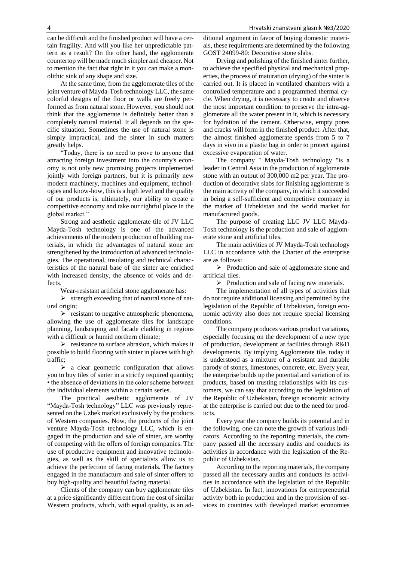can be difficult and the finished product will have a certain fragility. And will you like her unpredictable pattern as a result? On the other hand, the agglomerate countertop will be made much simpler and cheaper. Not to mention the fact that right in it you can make a monolithic sink of any shape and size.

At the same time, from the agglomerate tiles of the joint venture of Mayda-Tosh technology LLC, the same colorful designs of the floor or walls are freely performed as from natural stone. However, you should not think that the agglomerate is definitely better than a completely natural material. It all depends on the specific situation. Sometimes the use of natural stone is simply impractical, and the sinter in such matters greatly helps.

"Today, there is no need to prove to anyone that attracting foreign investment into the country's economy is not only new promising projects implemented jointly with foreign partners, but it is primarily new modern machinery, machines and equipment, technologies and know-how, this is a high level and the quality of our products is, ultimately, our ability to create a competitive economy and take our rightful place in the global market."

Strong and aesthetic agglomerate tile of JV LLC Mayda-Tosh technology is one of the advanced achievements of the modern production of building materials, in which the advantages of natural stone are strengthened by the introduction of advanced technologies. The operational, insulating and technical characteristics of the natural base of the sinter are enriched with increased density, the absence of voids and defects.

Wear-resistant artificial stone agglomerate has:

 $\triangleright$  strength exceeding that of natural stone of natural origin;

 $\triangleright$  resistant to negative atmospheric phenomena, allowing the use of agglomerate tiles for landscape planning, landscaping and facade cladding in regions with a difficult or humid northern climate;

 $\triangleright$  resistance to surface abrasion, which makes it possible to build flooring with sinter in places with high traffic;

 $\triangleright$  a clear geometric configuration that allows you to buy tiles of sinter in a strictly required quantity; • the absence of deviations in the color scheme between the individual elements within a certain series.

The practical aesthetic agglomerate of JV "Mayda-Tosh technology" LLC was previously represented on the Uzbek market exclusively by the products of Western companies. Now, the products of the joint venture Mayda-Tosh technology LLC, which is engaged in the production and sale of sinter, are worthy of competing with the offers of foreign companies. The use of productive equipment and innovative technologies, as well as the skill of specialists allow us to achieve the perfection of facing materials. The factory engaged in the manufacture and sale of sinter offers to buy high-quality and beautiful facing material.

Clients of the company can buy agglomerate tiles at a price significantly different from the cost of similar Western products, which, with equal quality, is an additional argument in favor of buying domestic materials, these requirements are determined by the following GOST 24099-80: Decorative stone slabs.

Drying and polishing of the finished sinter further, to achieve the specified physical and mechanical properties, the process of maturation (drying) of the sinter is carried out. It is placed in ventilated chambers with a controlled temperature and a programmed thermal cycle. When drying, it is necessary to create and observe the most important condition: to preserve the intra-agglomerate all the water present in it, which is necessary for hydration of the cement. Otherwise, empty pores and cracks will form in the finished product. After that, the almost finished agglomerate spends from 5 to 7 days in vivo in a plastic bag in order to protect against excessive evaporation of water.

The company '' Mayda-Tosh technology "is a leader in Central Asia in the production of agglomerate stone with an output of 300,000 m2 per year. The production of decorative slabs for finishing agglomerate is the main activity of the company, in which it succeeded in being a self-sufficient and competitive company in the market of Uzbekistan and the world market for manufactured goods.

The purpose of creating LLC JV LLC Mayda-Tosh technology is the production and sale of agglomerate stone and artificial tiles.

The main activities of JV Mayda-Tosh technology LLC in accordance with the Charter of the enterprise are as follows:

 $\triangleright$  Production and sale of agglomerate stone and artificial tiles.

 $\triangleright$  Production and sale of facing raw materials.

The implementation of all types of activities that do not require additional licensing and permitted by the legislation of the Republic of Uzbekistan, foreign economic activity also does not require special licensing conditions.

The company produces various product variations, especially focusing on the development of a new type of production, development at facilities through R&D developments. By implying Agglomerate tile, today it is understood as a mixture of a resistant and durable parody of stones, limestones, concrete, etc. Every year, the enterprise builds up the potential and variation of its products, based on trusting relationships with its customers, we can say that according to the legislation of the Republic of Uzbekistan, foreign economic activity at the enterprise is carried out due to the need for products.

Every year the company builds its potential and in the following, one can note the growth of various indicators. According to the reporting materials, the company passed all the necessary audits and conducts its activities in accordance with the legislation of the Republic of Uzbekistan.

According to the reporting materials, the company passed all the necessary audits and conducts its activities in accordance with the legislation of the Republic of Uzbekistan. In fact, innovations for entrepreneurial activity both in production and in the provision of services in countries with developed market economies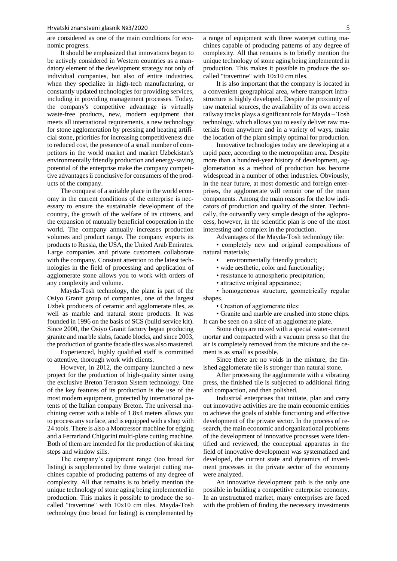are considered as one of the main conditions for economic progress.

It should be emphasized that innovations began to be actively considered in Western countries as a mandatory element of the development strategy not only of individual companies, but also of entire industries, when they specialize in high-tech manufacturing, or constantly updated technologies for providing services, including in providing management processes. Today, the company's competitive advantage is virtually waste-free products, new, modern equipment that meets all international requirements, a new technology for stone agglomeration by pressing and heating artificial stone, priorities for increasing competitiveness due to reduced cost, the presence of a small number of competitors in the world market and market Uzbekistan's environmentally friendly production and energy-saving potential of the enterprise make the company competitive advantages ii conclusive for consumers of the products of the company.

The conquest of a suitable place in the world economy in the current conditions of the enterprise is necessary to ensure the sustainable development of the country, the growth of the welfare of its citizens, and the expansion of mutually beneficial cooperation in the world. The company annually increases production volumes and product range. The company exports its products to Russia, the USA, the United Arab Emirates. Large companies and private customers collaborate with the company. Constant attention to the latest technologies in the field of processing and application of agglomerate stone allows you to work with orders of any complexity and volume.

Mayda-Tosh technology, the plant is part of the Osiyo Granit group of companies, one of the largest Uzbek producers of ceramic and agglomerate tiles, as well as marble and natural stone products. It was founded in 1996 on the basis of SCS (build service kit). Since 2000, the Osiyo Granit factory began producing granite and marble slabs, facade blocks, and since 2003, the production of granite facade tiles was also mastered.

Experienced, highly qualified staff is committed to attentive, thorough work with clients.

However, in 2012, the company launched a new project for the production of high-quality sinter using the exclusive Breton Teraston Sistem technology. One of the key features of its production is the use of the most modern equipment, protected by international patents of the Italian company Breton. The universal machining center with a table of 1.8x4 meters allows you to process any surface, and is equipped with a shop with 24 tools. There is also a Montressor machine for edging and a Ferrariand Chigorini multi-plate cutting machine. Both of them are intended for the production of skirting steps and window sills.

The company's equipment range (too broad for listing) is supplemented by three waterjet cutting machines capable of producing patterns of any degree of complexity. All that remains is to briefly mention the unique technology of stone aging being implemented in production. This makes it possible to produce the socalled "travertine" with 10x10 cm tiles. Mayda-Tosh technology (too broad for listing) is complemented by a range of equipment with three waterjet cutting machines capable of producing patterns of any degree of complexity. All that remains is to briefly mention the unique technology of stone aging being implemented in production. This makes it possible to produce the socalled "travertine" with 10x10 cm tiles.

It is also important that the company is located in a convenient geographical area, where transport infrastructure is highly developed. Despite the proximity of raw material sources, the availability of its own access railway tracks plays a significant role for Mayda – Tosh technology. which allows you to easily deliver raw materials from anywhere and in a variety of ways, make the location of the plant simply optimal for production.

Innovative technologies today are developing at a rapid pace, according to the metropolitan area. Despite more than a hundred-year history of development, agglomeration as a method of production has become widespread in a number of other industries. Obviously, in the near future, at most domestic and foreign enterprises, the agglomerate will remain one of the main components. Among the main reasons for the low indicators of production and quality of the sinter. Technically, the outwardly very simple design of the agloprocess, however, in the scientific plan is one of the most interesting and complex in the production.

Advantages of the Mayda-Tosh technology tile:

• completely new and original compositions of natural materials;

environmentally friendly product;

• wide aesthetic, color and functionality;

• resistance to atmospheric precipitation;

• attractive original appearance;

• homogeneous structure, geometrically regular shapes.

• Creation of agglomerate tiles:

• Granite and marble are crushed into stone chips. It can be seen on a slice of an agglomerate plate.

Stone chips are mixed with a special water-cement mortar and compacted with a vacuum press so that the air is completely removed from the mixture and the cement is as small as possible.

Since there are no voids in the mixture, the finished agglomerate tile is stronger than natural stone.

After processing the agglomerate with a vibrating press, the finished tile is subjected to additional firing and compaction, and then polished.

Industrial enterprises that initiate, plan and carry out innovative activities are the main economic entities to achieve the goals of stable functioning and effective development of the private sector. In the process of research, the main economic and organizational problems of the development of innovative processes were identified and reviewed, the conceptual apparatus in the field of innovative development was systematized and developed, the current state and dynamics of investment processes in the private sector of the economy were analyzed.

An innovative development path is the only one possible in building a competitive enterprise economy. In an unstructured market, many enterprises are faced with the problem of finding the necessary investments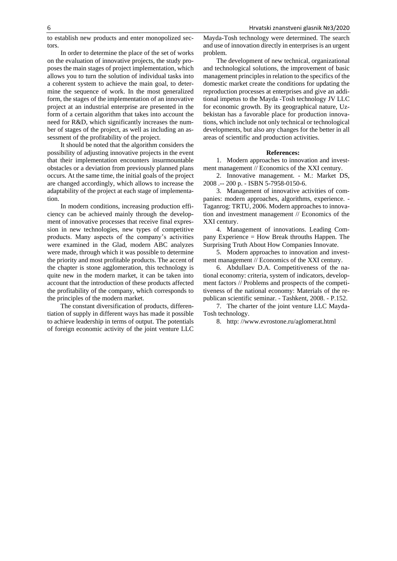to establish new products and enter monopolized sectors.

In order to determine the place of the set of works on the evaluation of innovative projects, the study proposes the main stages of project implementation, which allows you to turn the solution of individual tasks into a coherent system to achieve the main goal, to determine the sequence of work. In the most generalized form, the stages of the implementation of an innovative project at an industrial enterprise are presented in the form of a certain algorithm that takes into account the need for R&D, which significantly increases the number of stages of the project, as well as including an assessment of the profitability of the project.

It should be noted that the algorithm considers the possibility of adjusting innovative projects in the event that their implementation encounters insurmountable obstacles or a deviation from previously planned plans occurs. At the same time, the initial goals of the project are changed accordingly, which allows to increase the adaptability of the project at each stage of implementation.

In modern conditions, increasing production efficiency can be achieved mainly through the development of innovative processes that receive final expression in new technologies, new types of competitive products. Many aspects of the company's activities were examined in the Glad, modern ABC analyzes were made, through which it was possible to determine the priority and most profitable products. The accent of the chapter is stone agglomeration, this technology is quite new in the modern market, it can be taken into account that the introduction of these products affected the profitability of the company, which corresponds to the principles of the modern market.

The constant diversification of products, differentiation of supply in different ways has made it possible to achieve leadership in terms of output. The potentials of foreign economic activity of the joint venture LLC Mayda-Tosh technology were determined. The search and use of innovation directly in enterprises is an urgent problem.

The development of new technical, organizational and technological solutions, the improvement of basic management principles in relation to the specifics of the domestic market create the conditions for updating the reproduction processes at enterprises and give an additional impetus to the Mayda -Tosh technology JV LLC for economic growth. By its geographical nature, Uzbekistan has a favorable place for production innovations, which include not only technical or technological developments, but also any changes for the better in all areas of scientific and production activities.

#### **References:**

1. Modern approaches to innovation and investment management // Economics of the XXI century.

2. Innovative management. - M.: Market DS, 2008 .-- 200 p. - ISBN 5-7958-0150-6.

3. Management of innovative activities of companies: modern approaches, algorithms, experience. - Taganrog: TRTU, 2006. Modern approaches to innovation and investment management // Economics of the XXI century.

4. Management of innovations. Leading Company Experience = How Break throuths Happen. The Surprising Truth About How Companies Innovate.

5. Modern approaches to innovation and investment management // Economics of the XXI century.

6. Abdullaev D.A. Competitiveness of the national economy: criteria, system of indicators, development factors // Problems and prospects of the competitiveness of the national economy: Materials of the republican scientific seminar. - Tashkent, 2008. - P.152.

7. The charter of the joint venture LLC Mayda-Tosh technology.

8. http: //www.evrostone.ru/aglomerat.html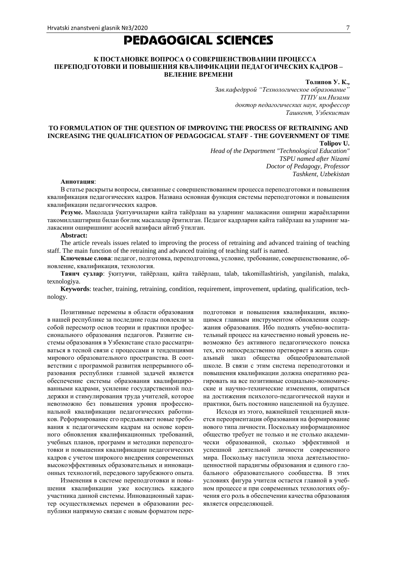# PEDAGOGICAL SCIENCES

## **К ПОСТАНОВКЕ ВОПРОСА О СОВЕРШЕНСТВОВАНИИ ПРОЦЕССА ПЕРЕПОДГОТОВКИ И ПОВЫШЕНИЯ КВАЛИФИКАЦИИ ПЕДАГОГИЧЕСКИХ КАДРОВ – ВЕЛЕНИЕ ВРЕМЕНИ**

**Толипов У. К.,**

*Зав.кафедррой "Технологическое образование" ТГПУ им.Низами доктор педагогических наук, профессор Ташкент, Узбекистан*

### **TO FORMULATION OF THE QUESTION OF IMPROVING THE PROCESS OF RETRAINING AND INCREASING THE QUALIFICATION OF PEDAGOGICAL STAFF - THE GOVERNMENT OF TIME Tolipov U.**

*Head of the Department "Technological Education" TSPU named after Nizami Doctor of Pedagogy, Professor Tashkent, Uzbekistan*

#### **Аннотация**:

В статье раскрыты вопросы, связанные с совершенствованием процесса переподготовки и повышения квалификация педагогических кадров. Названа основная функция системы переподготовки и повышения квалификации педагогических кадров.

**Резуме.** Мақолада ўқитувчиларни қайта тайёрлаш ва уларнинг малакасини ошириш жараёнларини такомиллаштириш билан боғлиқ масалалар ёритилган. Педагог кадрларни қайта тайёрлаш ва уларнинг малакасини оширишнинг асосий вазифаси айтиб ўтилган.

### **Abstract:**

The article reveals issues related to improving the process of retraining and advanced training of teaching staff. The main function of the retraining and advanced training of teaching staff is named.

**Ключевые слова**: педагог, подготовка, переподготовка, условие, требование, совершенствование, обновление, квалификация, технология.

**Таянч сузлар**: ўқитувчи, тайёрлаш, қайта тайёрлаш, talab, takomillashtirish, yangilanish, malaka, texnologiya.

**Keywords**: teacher, training, retraining, condition, requirement, improvement, updating, qualification, technology.

Позитивные перемены в области образования в нашей республике за последние годы повлекли за собой пересмотр основ теории и практики профессионального образования педагогов. Развитие системы образования в Узбекистане стало рассматриваться в тесной связи с процессами и тенденциями мирового образовательного пространства. В соответствии с программой развития непрерывного образования республики главной задачей является обеспечение системы образования квалифицированными кадрами, усиление государственной поддержки и стимулирования труда учителей, которое невозможно без повышения уровня профессиональной квалификации педагогических работников. Реформирование его предъявляет новые требования к педагогическим кадрам на основе коренного обновления квалификационных требований, учебных планов, программ и методики переподготовки и повышения квалификации педагогических кадров с учетом широкого внедрения современных высокоэффективных образовательных и инновационных технологий, передового зарубежного опыта.

Изменения в системе переподготовки и повышения квалификации уже коснулись каждого участника данной системы. Инновационный характер осуществляемых перемен в образовании республики напрямую связан с новым форматом пере-

подготовки и повышения квалификации, являющимся главным инструментом обновления содержания образования. Ибо поднять учебно-воспитательный процесс на качественно новый уровень невозможно без активного педагогического поиска тех, кто непосредственно претворяет в жизнь социальный заказ общества общеобразовательной школе. В связи с этим система переподготовки и повышения квалификации должна оперативно реагировать на все позитивные социально-экономические и научно-технические изменения, опираться на достижения психолого-педагогической науки и практики, быть постоянно нацеленной на будущее.

Исходя из этого, важнейшей тенденцией является переориентация образования на формирование нового типа личности. Поскольку информационное общество требует не только и не столько академически образованной, сколько эффективной и успешной деятельной личности современного мира. Поскольку наступила эпоха деятельностноценностной парадигмы образования и единого глобального образовательного сообщества. В этих условиях фигура учителя остается главной в учебном процессе и при современных технологиях обучения его роль в обеспечении качества образования является определяющей.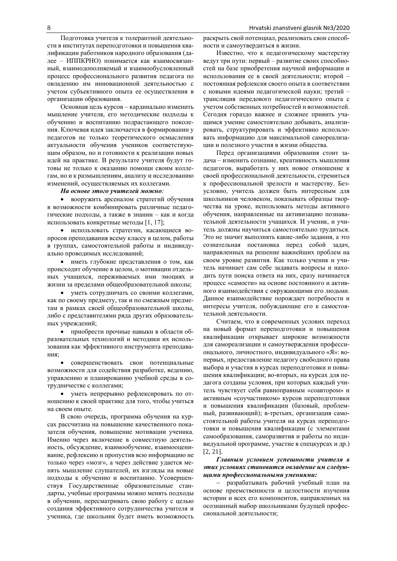Подготовка учителя к толерантной деятельности в институтах переподготовки и повышения квалификации работников народного образования (далее – ИППКРНО) понимается как взаимосвязанный, взаимодополняемый и взаимообусловленный процесс профессионального развития педагога по овладению им инновационной деятельностью с учетом субъективного опыта ее осуществления в организации образования.

Основная цель курсов – кардинально изменить мышление учителя, его методические подходы к обучению и воспитанию подрастающего поколения. Ключевая идея заключается в формировании у педагогов не только теоретического осмысления актуальности обучения учеников соответствующим образом, но и готовности к реализации новых идей на практике. В результате учителя будут готовы не только к оказанию помощи своим коллегам, но и к размышлениям, анализу и исследованию изменений, осуществляемых их коллегами.

### *На основе этого учителей можно:*

 вооружить арсеналом стратегий обучения в возможности комбинировать различные педагогические подходы, а также в знании – как и когда использовать конкретные методы [1, 17];

 использовать стратегии, касающиеся вопросов преподавания всему классу в целом, работы в группах, самостоятельной работы и индивидуально проводимых исследований;

 иметь глубокие представления о том, как происходит обучение в целом, о мотивации отдельных учащихся, переживаемых ими эмоциях и жизни за пределами общеобразовательной школы;

 уметь сотрудничать со своими коллегами, как по своему предмету, так и по смежным предметам в рамках своей общеобразовательной школы, либо с представителями ряда других образовательных учреждений;

 приобрести прочные навыки в области образовательных технологий и методики их использования как эффективного инструмента преподавания;

 совершенствовать свои потенциальные возможности для содействия разработке, ведению, управлению и планированию учебной среды в сотрудничестве с коллегами;

 уметь непрерывно рефлексировать по отношению к своей практике для того, чтобы учиться на своем опыте.

В свою очередь, программа обучения на курсах рассчитана на повышение качественного показателя обучения, повышение мотивации ученика. Именно через включение в совместную деятельность, обсуждение, взаимообучение, взаимооценивание, рефлексию и пропустив всю информацию не только через «мозг», а через действие удается менять мышление слушателей, их взгляды на новые подходы к обучению и воспитанию. Усовершенствуя Государственные образовательные стандарты, учебные программы можно менять подходы в обучении, пересматривать свою работу с целью создания эффективного сотрудничества учителя и ученика, где школьник будет иметь возможность

раскрыть свой потенциал, реализовать свои способности и самоутвердиться в жизни.

Известно, что к педагогическому мастерству ведут три пути: первый – развитие своих способностей на базе приобретения научной информации и использования ее в своей деятельности; второй – постоянная рефлексия своего опыта в соответствии с новыми идеями педагогической науки; третий – трансляция передового педагогического опыта с учетом собственных потребностей и возможностей. Сегодня гораздо важнее и сложнее привить учащимся умение самостоятельно добывать, анализировать, структурировать и эффективно использовать информацию для максимальной самореализации и полезного участия в жизни общества.

Перед организациями образования стоит задача – изменить сознание, креативность мышления педагогов, выработать у них новое отношение к своей профессиональной деятельности, стремиться к профессиональной зрелости и мастерству. Безусловно, учитель должен быть интересным для школьников человеком, показывать образцы творчества на уроке, использовать методы активного обучения, направленные на активизацию познавательной деятельности учащихся. И ученик, и учитель должны научиться самостоятельно трудиться. Это не значит выполнять какие-либо задания, а это сознательная постановка перед собой задач, направленных на решение важнейших проблем на своем уровне развития. Как только ученик и учитель начинает сам себе задавать вопросы и находить пути поиска ответа на них, сразу начинается процесс «самости» на основе постоянного и активного взаимодействия с окружающими его людьми. Данное взаимодействие порождает потребности и интересы учителя, побуждающие его к самостоятельной деятельности.

Считаем, что в современных услових переход на новый формат переподготовки и повышения квалификации открывает широкие возможности для самореализации и самоутверждения профессионального, личностного, индивидуального «Я»: вопервых, предоставление педагогу свободного права выбора и участия в курсах переподготовки и повышения квалификации; во-вторых, на курсах для педагога созданы условия, при которых каждый учитель чувствует себя равноправным «соавтором» и активным «соучастником» курсов переподготовки и повышения квалификации (базовый, проблемный, развивающий); в-третьих, организация самостоятельной работы учителя на курсах переподготовки и повышения квалификации (с элементами самообразования, саморазвития и работы по индивидуальной программе, участие в спецкурсах и др.) [2, 21].

### *Главным условием успешности учителя в этих условиях становится овладение им следующими профессиональными умениями:*

 разрабатывать рабочий учебный план на основе преемственности и целостности изучения истории и всех его компонентов, направленных на осознанный выбор школьниками будущей профессиональной деятельности;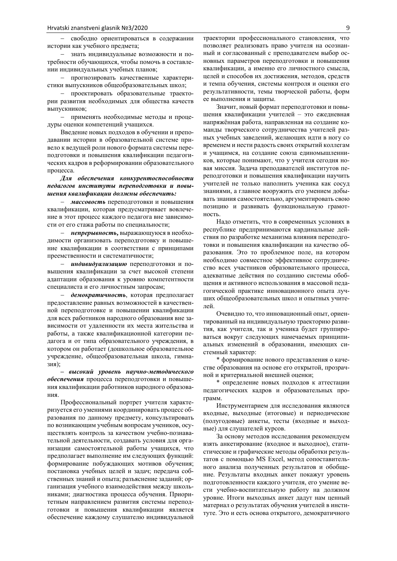свободно ориентироваться в содержании истории как учебного предмета;

 знать индивидуальные возможности и потребности обучающихся, чтобы помочь в составлении индивидуальных учебных планов;

 прогнозировать качественные характеристики выпускников общеобразовательных школ;

 проектировать образовательные траектории развития необходимых для общества качеств выпускников;

 применять необходимые методы и процедуры оценки компетенций учащихся.

Введение новых подходов в обучении и преподавании истории в образовательной системе привело к ведущей роли нового формата системы переподготовки и повышения квалификации педагогических кадров в реформировании образовательного процесса.

*Для обеспечения конкурентоспособности педагогов институты переподготовки и повышения квалификации должны обеспечить:*

 *массовость* переподготовки и повышения квалификации, которая предусматривает вовлечение в этот процесс каждого педагога вне зависимости от его стажа работы по специальности;

 *непрерывность***,** выражающуюся в необходимости организовать переподготовку и повышение квалификации в соответствии с принципами преемственности и систематичности;

 *индивидуализацию* переподготовки и повышения квалификации за счет высокой степени адаптации образования к уровню компетентности специалиста и его личностным запросам;

 *демократичность*, которая предполагает предоставление равных возможностей в качественной переподготовке и повышении квалификации для всех работников народного образования вне зависимости от удаленности их места жительства и работы, а также квалификационной категории педагога и от типа образовательного учреждения, в котором он работает (дошкольное образовательное учреждение, общеобразовательная школа, гимназия);

**–** *высокий уровень научно***-***методического обеспечения* процесса переподготовки и повышения квалификации работников народного образования.

Профессиональный портрет учителя характеризуется его умениями координировать процесс образования по данному предмету, консультировать по возникающим учебным вопросам учеников, осуществлять контроль за качеством учебно-познавательной деятельности, создавать условия для организации самостоятельной работы учащихся, что предполагает выполнение им следующих функций: формирование побуждающих мотивов обучения; постановка учебных целей и задач; передача собственных знаний и опыта; разъяснение заданий; организация учебного взаимодействия между школьниками; диагностика процесса обучения. Приоритетным направлением развития системы переподготовки и повышения квалификации является обеспечение каждому слушателю индивидуальной траектории профессионального становления, что позволяет реализовать право учителя на осознанный и согласованный с преподавателем выбор основных параметров переподготовки и повышения квалификации, а именно его личностного смысла, целей и способов их достижения, методов, средств и темпа обучения, системы контроля и оценки его результативности, темы творческой работы, форм ее выполнения и защиты.

Значит, новый формат переподготовки и повышения квалификации учителей – это ежедневная напряжённая работа, направленная на создание команды творческого сотрудничества учителей разных учебных заведений, желающих идти в ногу со временем и нести радость своих открытий коллегам и учащимся, на создание союза единомышленников, которые понимают, что у учителя сегодня новая миссия. Задача преподавателей институтов переподготовки и повышения квалификации научить учителей не только наполнить ученика как сосуд знаниями, а главное вооружить его умением добывать знания самостоятельно, аргументировать свою позицию и развивать функциональную грамотность.

Надо отметить, что в современных условиях в республике предпринимаются кардинальные действия по разработке механизма влияния переподготовки и повышения квалификации на качество образования. Это то проблемное поле, на котором необходимо совместное эффективное сотрудничество всех участников образовательного процесса, адекватные действия по созданию системы обобщения и активного использования в массовой педагогической практике инновационного опыта лучших общеобразовательных школ и опытных учителей.

Очевидно то, что инновационный опыт, ориентированный на индивидуальную траекторию развития, как учителя, так и ученика будет группироваться вокруг следующих намечаемых принципиальных изменений в образовании, имеющих системный характер:

\* формирование нового представления о качестве образования на основе его открытой, прозрачной и критериальной внешней оценки;

\* определение новых подходов к аттестации педагогических кадров и образовательных программ.

Инструментарием для исследования являются входные, выходные (итоговые) и периодические (полугодовые) анкеты, тесты (входные и выходные) для слушателей курсов.

За основу методов исследования рекомендуем взять анкетирование (входное и выходное), статистические и графические методы обработки результатов с помощью MS Excel, метод сопоставительного анализа полученных результатов и обобщение. Результаты входных анкет покажут уровень подготовленности каждого учителя, его умение вести учебно-воспитательную работу на должном уровне. Итоги выходных анкет дадут нам ценный материал о результатах обучения учителей в институте. Это и есть основа открытого, демократичного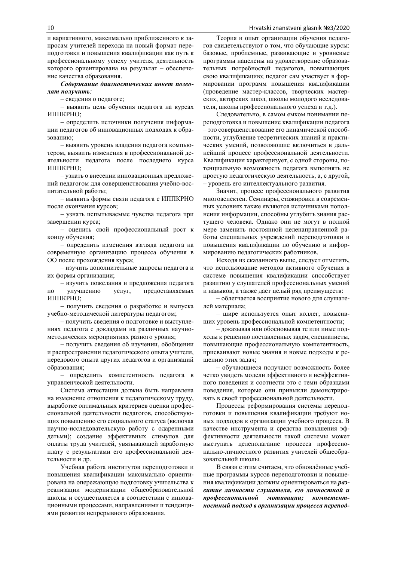и вариативного, максимально приближенного к запросам учителей перехода на новый формат переподготовки и повышения квалификации как путь к профессиональному успеху учителя, деятельность которого ориентирована на результат – обеспечение качества образования.

*Содержание диагностических анкет позволят получить:*

– сведения о педагоге;

– выявить цель обучения педагога на курсах ИППКРНО;

– определить источники получения информации педагогов об инновационных подходах к образованию;

– выявить уровень владения педагога компьютером, выявить изменения в профессиональной деятельности педагога после последнего курса ИППКРНО;

– узнать о внесении инновационных предложений педагогом для совершенствования учебно-воспитательной работы;

– выявить формы связи педагога с ИППКРНО после окончания курсов;

– узнать испытываемые чувства педагога при завершении курса;

– оценить свой профессиональный рост к концу обучения;

– определить изменения взгляда педагога на современную организацию процесса обучения в ОО после прохождения курса;

– изучить дополнительные запросы педагога и их формы организации;

– изучить пожелания и предложения педагога по улучшению услуг, предоставляемых ИППКРНО;

– получить сведения о разработке и выпуска учебно-методической литературы педагогом;

– получить сведения о подготовке и выступлениях педагога с докладами на различных научнометодических мероприятиях разного уровня;

– получить сведения об изучении, обобщении и распространении педагогического опыта учителя, передового опыта других педагогов и организаций образования;

– определить компетентность педагога в управленческой деятельности.

Система аттестации должна быть направлена на изменение отношения к педагогическому труду, выработке оптимальных критериев оценки профессиональной деятельности педагогов, способствующих повышению его социального статуса (включая научно-исследовательскую работу с одаренными детьми); создание эффективных стимулов для оплаты труда учителей, увязывающей заработную плату с результатами его профессиональной деятельности и др.

Учебная работа институтов переподготовки и повышения квалификации максимально ориентирована на опережающую подготовку учительства к реализации модернизации общеобразовательной школы и осуществляется в соответствии с инновационными процессами, направлениями и тенденциями развития непрерывного образования.

Теория и опыт организации обучения педагогов свидетельствуют о том, что обучающие курсы: базовые, проблемные, развивающие и уровневые программы нацелены на удовлетворение образовательных потребностей педагогов, повышающих свою квалификацию; педагог сам участвует в формировании программ повышения квалификации (проведение мастер-классов, творческих мастерских, авторских школ, школы молодого исследователя, школы профессионального успеха и т.д.).

Следовательно, в самом емком понимании переподготовка и повышение квалификации педагога – это совершенствование его динамической способности, углубление теоретических знаний и практических умений, позволяющие включиться в дальнейший процесс профессиональной деятельности. Квалификация характеризует, с одной стороны, потенциальную возможность педагога выполнять не простую педагогическую деятельность, а, с другой, – уровень его интеллектуального развития.

Значит, процесс профессионального развития многоаспектен. Семинары, стажировки в современных условиях также являются источниками пополнения информации, способны углубить знания растущего человека. Однако они не могут в полной мере заменить постоянной целенаправленной работы специальных учреждений переподготовки и повышения квалификации по обучению и информированию педагогических работников.

Исходя из сказанного выше, следует отметить, что использование методов активного обучения в системе повышения квалификации способствует развитию у слушателей профессиональных умений и навыков, а также дает целый ряд преимуществ:

– облегчается восприятие нового для слушателей материала;

– шире используется опыт коллег, повысивших уровень профессиональной компетентности;

– доказывая или обосновывая те или иные подходы к решению поставленных задач, специалисты, повышающие профессиональную компетентность, присваивают новые знания и новые подходы к решению этих задач;

– обучающиеся получают возможность более четко увидеть модели эффективного и неэффективного поведения и соотнести это с теми образцами поведения, которые они привыкли демонстрировать в своей профессиональной деятельности.

Процессы реформирования системы переподготовки и повышения квалификации требуют новых подходов к организации учебного процесса. В качестве инструмента и средства повышения эффективности деятельности такой системы может выступать целеполагание процесса профессионально-личностного развития учителей общеобразовательной школы.

В связи с этим считаем, что обновлённые учебные программы курсов переподготовки и повышения квалификации должны ориентироваться на *развитие личности слушателя, его личностной и профессиональной мотивации; компетентностный подход в организации процесса перепод-*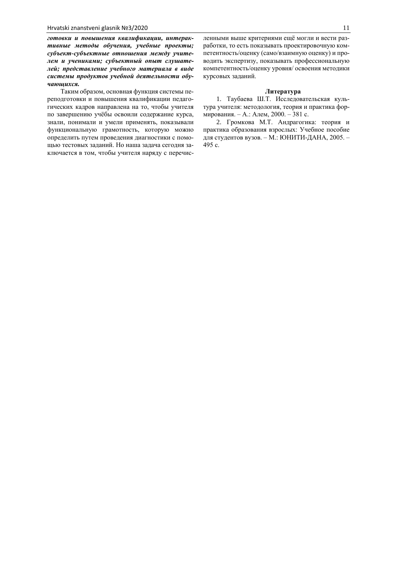*готовки и повышения квалификации, интерактивные методы обучения, учебные проекты; субъект-субъектные отношения между учителем и учениками; субъектный опыт слушателей; представление учебного материала в виде системы продуктов учебной деятельности обучающихся.*

Таким образом, основная функция системы переподготовки и повышения квалификации педагогических кадров направлена на то, чтобы учителя по завершению учёбы освоили содержание курса, знали, понимали и умели применять, показывали функциональную грамотность, которую можно определить путем проведения диагностики с помощью тестовых заданий. Но наша задача сегодня заключается в том, чтобы учителя наряду с перечисленными выше критериями ещё могли и вести разработки, то есть показывать проектировочную компетентность/оценку (само/взаимную оценку) и проводить экспертизу, показывать профессиональную компетентность/оценку уровня/ освоения методики курсовых заданий.

#### **Литература**

1. Таубаева Ш.Т. Исследовательская культура учителя: методология, теория и практика формирования. – А.: Алем, 2000. – 381 с.

2. Громкова М.Т. Андрагогика: теория и практика образования взрослых: Учебное пособие для студентов вузов. – М.: ЮНИТИ-ДАНА, 2005. – 495 с.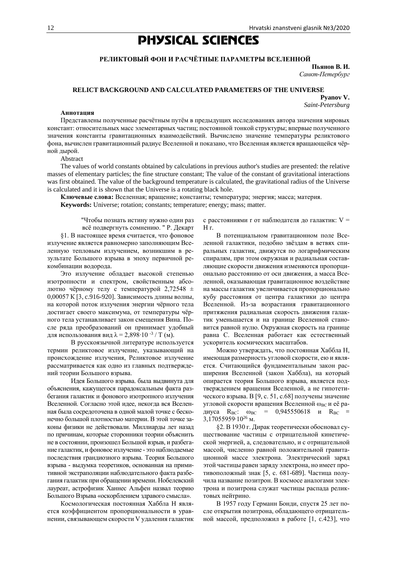# PHYSICAL SCIENCES

## **РЕЛИКТОВЫЙ ФОН И РАСЧЁТНЫЕ ПАРАМЕТРЫ ВСЕЛЕННОЙ**

**Пьянов В. И.** *Санкт-Петербург*

## **RELICT BACKGROUND AND CALCULATED PARAMETERS OF THE UNIVERSE**

**Pyanov V.**

*Saint-Petersburg*

### **Аннотация**

Представлены полученные расчётным путём в предыдущих исследованиях автора значения мировых констант: относительных масс элементарных частиц; постоянной тонкой структуры; впервые полученного значения константы гравитационных взаимодействий. Вычислено значение температуры реликтового фона, вычислен гравитационный радиус Вселенной и показано, что Вселенная является вращающейся чёрной дырой.

Abstract

The values of world constants obtained by calculations in previous author's studies are presented: the relative masses of elementary particles; the fine structure constant; The value of the constant of gravitational interactions was first obtained. The value of the background temperature is calculated, the gravitational radius of the Universe is calculated and it is shown that the Universe is a rotating black hole.

**Ключевые слова:** Вселенная; вращение; константы; температура; энергия; масса; материя. **Keywords:** Universe; rotation; constants; temperature; energy; mass; matter.

"Чтобы познать истину нужно один раз всё подвергнуть сомнению. " Р. Декарт

§1. В настоящее время считается, что фоновое излучение является равномерно заполняющим Вселенную тепловым излучением, возникшим в результате Большого взрыва в эпоху первичной рекомбинации водорода.

Это излучение обладает высокой степенью изотропности и спектром, свойственным абсолютно чёрному телу с температурой 2,72548  $\pm$ 0,00057 К [3, c.916-920]. Зависимость длины волны, на которой поток излучения энергии чёрного тела достигает своего максимума, от температуры чёрного тела устанавливает закон смещения Вина. После ряда преобразований он принимает удобный для использования вид  $\lambda = 2{,}898 {\cdot}10^{-3}$  / Т (м).

В русскоязычной литературе используется термин реликтовое излучение, указывающий на происхождение излучения, Реликтовое излучение рассматривается как одно из главных подтверждений теории Большого взрыва.

Идея Большого взрыва. была выдвинута для объяснения, кажущегося парадоксальным факта разбегания галактик и фонового изотропного излучения Вселенной. Согласно этой идее, некогда вся Вселенная была сосредоточена в одной малой точке с бесконечно большой плотностью материи. В этой точке законы физики не действовали. Миллиарды лет назад по причинам, которые сторонники теории объяснить не в состоянии, произошел Большой взрыв, и разбегание галактик, и фоновое излучение - это наблюдаемые последствия грандиозного взрыва. Теория Большого взрыва - выдумка теоретиков, основанная на примитивной экстраполяции наблюдательного факта разбегания галактик при обращении времени. Нобелевский лауреат, астрофизик Ханнес Альфен назвал теорию Большого Взрыва «оскорблением здравого смысла».

Космологическая постоянная Хаббла H является коэффициентом пропорциональности в уравнении, связывающем скорости V удаления галактик с расстояниями r от наблюдателя до галактик: V = H r.

В потенциальном гравитационном поле Вселенной галактики, подобно звёздам в ветвях спиральных галактик, движутся по логарифмическим спиралям, при этом окружная и радиальная составляющие скорости движения изменяются пропорционально расстоянию от оси движения, а масса Вселенной, оказывающая гравитационное воздействие на массы галактик увеличивается пропорционально кубу расстояния от центра галактики до центра Вселенной. Из-за возрастания гравитационного притяжения радиальная скорость движения галактик уменьшается и на границе Вселенной становится равной нулю. Окружная скорость на границе равна С. Вселенная работает как естественный ускоритель космических масштабов.

Можно утверждать, что постоянная Хаббла Н, имеющая размерность угловой скорости, ею и является. Считающийся фундаментальным закон расширения Вселенной (закон Хаббла), на который опирается теория Большого взрыва, является подтверждением вращения Вселенной, а не гипотетического взрыва. В [9, с. 51, с.68] получены значение угловой скорости вращения Вселенной овси её радиуса R<sub>BC</sub>:  $\omega_{BC}$  = 0,945550618 и R<sub>BC</sub> = 3,17055959∙10<sup>26</sup> м.

§2. В 1930 г. Дирак теоретически обосновал существование частицы с отрицательной кинетической энергией, а, следовательно, и с отрицательной массой, численно равной положительной гравитационной массе электрона. Электрический заряд этой частицы равен заряду электрона, но имеет противоположный знак [5, с. 681-689]. Частица получила название позитрон. В космосе аналогами электрона и позитрона служат частицы распада реликтовых нейтрино.

В 1957 году Германн Бонди, спустя 25 лет после открытия позитрона, обладающего отрицательной массой, предположил в работе [1, c.423], что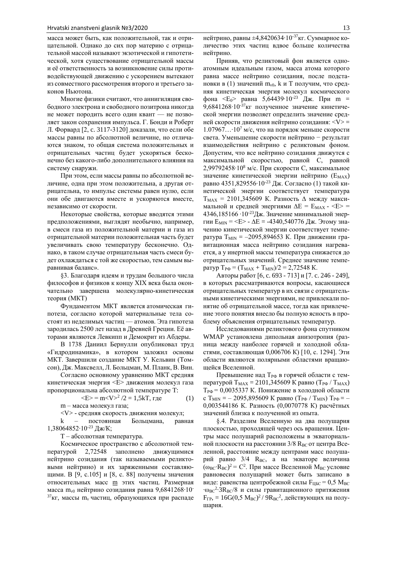масса может быть, как положительной, так и отрицательной. Однако до сих пор материю с отрицательной массой называют экзотической и гипотетической, хотя существование отрицательной массы и её ответственность за возникновение силы противодействующей движению с ускорением вытекают из совместного рассмотрения второго и третьего законов Ньютона.

Многие физики считают, что аннигиляция свободного электрона и свободного позитрона никогда не может породить всего один квант — не позволяет закон сохранения импульса. Г. Бонди и Роберт Л. Форвард [2, c. 3117-3120] доказали, что если обе массы равны по абсолютной величине, но отличаются знаком, то общая система положительных и отрицательных частиц будет ускоряться бесконечно без какого-либо дополнительного влияния на систему снаружи.

При этом, если массы равны по абсолютной величине, одна при этом положительна, а другая отрицательна, то импульс системы равен нулю, если они обе двигаются вместе и ускоряются вместе, независимо от скорости.

Некоторые свойства, которые вводятся этими предположениями, выглядят необычно, например, в смеси газа из положительной материи и газа из отрицательной материи положительная часть будет увеличивать свою температуру бесконечно. Однако, в таком случае отрицательная часть смеси будет охлаждаться с той же скоростью, тем самым выравнивая баланс».

§3. Благодаря идеям и трудам большого числа философов и физиков к концу XIX века была окончательно завершена молекулярно-кинетическая теория (МКТ)

Фундаментом МКТ является атомическая гипотеза, согласно которой материальные тела состоят из неделимых частиц — атомов. Эта гипотеза зародилась 2500 лет назад в Древней Греции. Её авторами являются Левкипп и Демокрит из Абдеры.

В 1738 Даниил Бернулли опубликовал труд «Гидродинамика», в котором заложил основы МКТ. Завершили создание МКТ У. Кельвин (Томсон), Дж. Максвелл, Л. Больцман, М. Планк, В. Вин.

Согласно основному уравнению МКТ средняя кинетическая энергия <Е> движения молекул газа пропорциональна абсолютной температуре T:

 $\langle E \rangle = m \langle V \rangle^2 / 2 = 1,5kT$ , где (1)

m – масса молекул газа;

<V> - средняя скорость движения молекул;

k – постоянная Больцмана, равная 1,38064852∙10-23 Дж/К;

T – абсолютная температура.

Космическое пространство с абсолютной температурой 2,72548 заполнено движущимися нейтрино созидания (так называемыми реликтовыми нейтрино) и их заряженными составляющими. В [9, с.105] и [8, с. 88] получены значения относительных масс m этих частиц. Размерная масса m<sub>ν0</sub> нейтрино созидания равна 9,6841268∙10<sup>-</sup>  $37<sub>KT</sub>$ , массы m<sub>v</sub> частиц, образующихся при распаде нейтрино, равны ±4,8420634∙10-37кг. Суммарное количество этих частиц вдвое больше количества нейтрино.

Приняв, что реликтовый фон является одноатомным идеальным газом, масса атома которого равна массе нейтрино созидания, после подстановки в (1) значений m<sub>v0</sub>, k и T получим, что средняя кинетическая энергия молекул космического фона <Е0> равна 5,64439∙10-23 Дж. При m = 9,6841268∙10-37кг полученное значение кинетической энергии позволяет определить значение средней скорости движения нейтрино созидания: <V> = 1.07967…∙10<sup>7</sup> м/с, что на порядок меньше скорости света. Уменьшение скорости нейтрино − результат взаимодействия нейтрино с реликтовым фоном. Допустим, что все нейтрино созидания движутся с максимальной скоростью, равной С, равной 2,99792458∙10<sup>8</sup> м/с. При скорости С, максимальное значение кинетической энергии нейтрино (Емах) равно 4351,829556∙10-23 Дж. Согласно (1) такой кинетической энергии соответствует температура  $T_{MAX}$  = 2101,345609 К. Разность  $\Delta$  между максимальной и средней энергиями  $\Delta E = E_{MAX} - \langle E \rangle =$ 4346,185166 ∙10-23Дж. Значение минимальной энергии  $E_{MIN} = \langle E \rangle - \Delta E = -4340,540776$  Дж. Этому значению кинетической энергии соответствует температура  $T_{MIN} = -2095,894653$  К. При движении гравитационная масса нейтрино созидания нагревается, а у инертной массы температура снижается до отрицательных значений. Среднее значение температур Т $_{P\Phi} = (T_{MAX} + T_{MIN})/2 = 2{,}72548$  К.

Авторы работ [6, c. 693 - 713] и [7. c. 246 - 249], в которых рассматриваются вопросы, касающиеся отрицательных температур в их связи с отрицательными кинетическими энергиями, не привлекали понятие об отрицательной массе, тогда как привлечение этого понятия внесло бы полную ясность в проблему объяснения отрицательных температур.

Исследованиями реликтового фона спутником WMAP установлена дипольная анизотропия (разница между наиболее горячей и холодной областями, составляющая 0,006706 К) [10, с. 1294]. Эти области являются полярными областями вращающейся Вселенной.

Превышение над Трф в горячей области с температурой Т<sub>МАХ</sub> = 2101,345609 К равно (Т<sub>РФ</sub> / Т<sub>МАХ</sub>)  $T_{P\Phi} = 0.0035337$  К. Понижение в холодной области с  $T_{MIN} = -2095,895609$  К равно (Трф /  $T_{MIN}$ ) Трф = – 0,003544186 К. Разность (0,0070778 К) расчётных значений близка к полученной из опыта.

§.4. Разделим Вселенную на два полушария плоскостью, проходящей через ось вращения. Центры масс полушарий расположены в экваториальной плоскости на расстоянии  $3/8$  R<sub>BC</sub> от центра Вселенной, расстояние между центрами масс полушарий равно 3/4 R<sub>BC</sub>, а на экваторе величина  $(\omega_{BC} \cdot R_{BC})^2$  = С<sup>2</sup>. При массе Вселенной М<sub>ВС</sub> условие равновесия полушарий может быть записано в виде: равенства центробежной силы  $F_{\text{IIEC}} = 0.5 M_{\text{BC}}$ ∙ $\omega_{BC}$ <sup>2</sup>⋅3R<sub>BC</sub>/8 и силы гравитационного притяжения  $F_{\text{FP}} = 16G(0.5 \text{ M}_{\text{BC}})^2 / 9R_{\text{BC}}^2$ , действующих на полушария.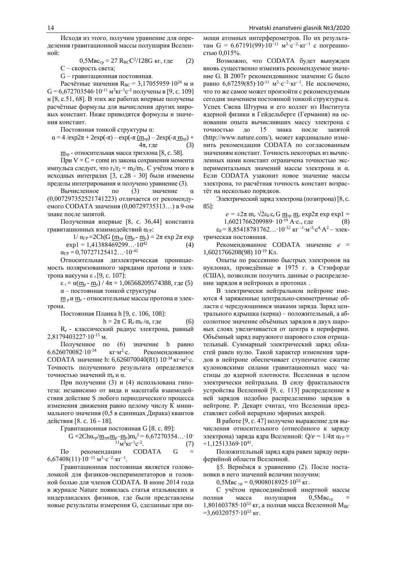$$
0,5M_{BC_{rp}} = 27 R_{BC}C^2/128G \text{ KT, r\mu} \tag{2}
$$

С – скорость света;

G – гравитационная постоянная.

Расчётные значения R<sub>BC</sub> = 3,17055959∙10<sup>26</sup> м и  $G = 6,672703546 \cdot 10^{-11}$  м<sup>3</sup>кг<sup>-1</sup>с<sup>-2</sup> получены в [9, с. 109] и [8, с.51, 68]. В этих же работах впервые получены расчётные формулы для вычисления других мировых констант. Ниже приводятся формулы и значения констант.

Постоянная тонкой структуры α:

$$
\alpha = 4 / \exp(2\pi + 2\exp(-\pi) - \exp(-\pi \underline{(m_{\text{rp}})} - 2\exp(-\pi \underline{m_{\text{rp}}}) + 4\pi, \text{ r \text{g}})
$$
(3)

 $m_{\text{tp}}$  - относительная масса триэлона [8, с. 58].

При  $V = C =$ const из закона сохранения момента импульса следует, что  $r_1/r_2 = m_2/m_1$ . С учётом этого в исходных интегралах [3, c.28 - 30] были изменены пределы интегрирования и получено уравнение (3).

Вычисленное по (3) значение α (0,007297352521741223) отличается от рекомендуемого CODATA значения (0,00729735313…) в 9-ом знаке после запятой.

Полученная впервые [8, c. 36,44] константа гравитационных взаимодействий αгр:

$$
1/\alpha_{\text{FP}} = 2\text{Ch}|\text{G}(\underline{\text{m}}_{\text{rp}} (\underline{\text{m}}_{\text{p}} \cdot \underline{\text{m}}_{e}) = 2\pi \exp 2\pi \exp 2\pi \exp 4\pi \exp 1 = 1,41388469299...10^{42} \tag{4}
$$
  

$$
\alpha_{\text{FP}} = 0,70727125412...10^{-42}
$$

Относительная диэлектрическая проницаемость поляризованного зарядами протона и электрона вакуума  $\varepsilon$ <sub>r</sub> [9, с. 107]:

 $\epsilon$ <sub>r</sub> = α(<u>m</u><sub>p</sub> - <u>m</u><sub>e</sub>) / 4π = 1,06568209574388, где (5) α – постоянная тонкой структуры

m <sup>р</sup>и m*<sup>e</sup>* - относительные массы протона и электрона.

Постоянная Планка h [9, c. 106, 108]:

 $h = 2π$  C R<sub>e</sub> m<sub>e</sub>/α, rge (6) R*<sup>e</sup>* - классический радиус электрона, равный 2,8179403227∙10-15 м.

Полученное по (6) значение h равно 6.626070082⋅10<sup>-34</sup> кг⋅м<sup>2</sup>⋅с. Рекомендованное CODATA значение h: 6,626070040(81) 10<sup>-34</sup> кг∙м<sup>2</sup>⋅с. Точность полученного результата определяется точностью значений  $m_e$  и α.

При получении (3) и (4) использована гипотеза: независимо от вида и масштаба взаимодействия действие S любого периодического процесса изменения движения равно целому числу К минимального значения (0,5 в единицах Дирака) квантов действия [8. c. 16 - 18].

Гравитационная постоянная G [8. c. 89]:

$$
G = 2Ch\alpha_{rp} \underbrace{m_{rp} \underbrace{m_{p} - m_{e}}_{11} m_{e}^{2}}_{11} = 6,67270354...10
$$
\n(7)

По рекомендации CODATA G =  $6,67408(11)$ ∙10<sup>-11</sup> м<sup>3</sup>⋅с<sup>-2</sup>⋅кг<sup>-1</sup>.

Гравитационная постоянная является головоломкой для физиков-экспериментаторов и головной болью для членов CODATA. В июне 2014 года в журнале Nature появилась статья итальянских и нидерландских физиков, где были представлены новые результаты измерения G, сделанные при по-

Возможно, что CODATA будет вынужден вновь существенно изменять рекомендуемое значение G. В 2007г рекомендованное значение G было равно 6,67259(85)⋅10<sup>-11</sup> м<sup>3</sup>⋅с<sup>-2</sup>⋅кг<sup>-1</sup>. Не исключено, что то же самое может произойти с рекомендуемым сегодня значением постоянной тонкой структуры α. Успех Свена Штурма и его коллег из Института ядерной физики в Гейдельберге (Германия) на основании опыта вычисливших массу электрона с точностью до 15 знака после запятой (http://www.nature.com/), может кардинально изменить рекомендации CODATA по согласованным значениям констант. Точность некоторых из вычисленных нами констант ограничена точностью экспериментальных значений массы электрона и α. Если CODATA узаконит новое значение массы электрона, то расчётная точность констант возрастёт на несколько порядков.

Электрический заряд электрона (позитрона) [8, c. 85]:

 $e = \pm 2\pi$  m<sub>e</sub>  $\sqrt{2\varepsilon_0 \varepsilon_r G}$  m<sub>rp</sub> m<sub>e</sub> exp2π exp exp1 =

1,6021766209989∙ 10<sup>-19</sup> А⋅с., где (8)  $\varepsilon_0$  = 8,85418781762... · 10<sup>-12</sup> кг<sup>-1</sup>⋅м<sup>-3</sup>⋅с<sup>4</sup>⋅А<sup>2</sup> – электрическая постоянная.

Рекомендованное CODATA значение *е* = 1,6021766208(98) 10-19 Кл.

Опыты по рассеянию быстрых электронов на нуклонах, проведённые в 1975 г. в Стэнфорде (США), позволили получить данные о распределении зарядов в нейтронах и протонах .

В электрически нейтральном нейтроне имеются 4 заряженные центрально-симметричные области с чередующимися знаками заряда. Заряд центрального ядрышка (керна) – положительный, а абсолютное значение объёмных зарядов в двух шаровых слоях увеличивается от центра к периферии. Объёмный заряд наружного шарового слоя отрицательный. Суммарный электрический заряд областей равен нулю. Такой характер изменения зарядов в нейтроне обеспечивает ступенчатое сжатие кулоновскими силами гравитационных масс частицы до ядерной плотности. Вселенная в целом электрически нейтральна. В силу фрактальности устройства Вселенной [9, с. 113] распределение в ней зарядов подобно распределению зарядов в нейтроне. Р. Декарт считал, что Вселенная представляет собой иерархию эфирных вихрей.

В работе [9, c. 47] получено выражение для вычисления относительного (отнесённого к заряду электрона) заряда ядра Вселенной: Q/e = 1/4π α<sub>ΓP</sub> =  $+1,12513369 \cdot 10^{41}$ .

Положительный заряд ядра равен заряду периферийной области Вселенной.

§5. Вернёмся к уравнению (2). После постановки в него значений величин получим:

0,5Мвс гр = 0,9008018925⋅10<sup>53</sup> кг.

С учётом присоединённой инертной массы полная масса полушария 0,5Мвс<sub>гр</sub> 1.801603785∙10<sup>53</sup> кг, а полная масса Вселенной М<sub>ВС</sub>  $=$ 3,60320757⋅10<sup>53</sup> κг.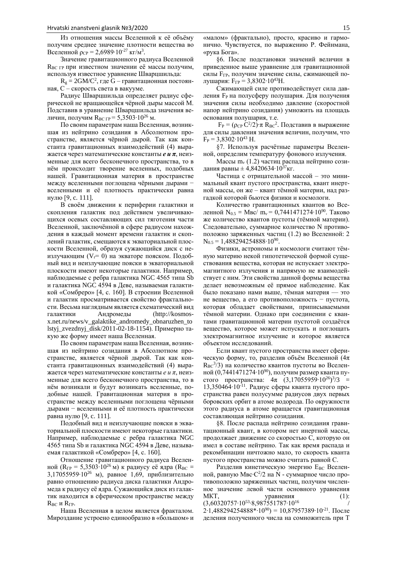Из отношения массы Вселенной к её объёму получим среднее значение плотности вещества во Вселенной  $\rho_{CP} = 2{,}6989.10^{-27}$  кг/м<sup>3</sup>.

Значение гравитационного радиуса Вселенной RВС ГР при известном значении её массы получим, используя известное уравнение Шварцшильда:

 $R_g = 2GM/C^2$ , где  $G - r$ равитационная постоянная, С – скорость света в вакууме.

Радиус Шварцшильда определяет радиус сферической не вращающейся чёрной дыры массой М. Подставив в уравнение Шварцшильда значения величин, получим R<sub>BC ГР</sub> = 5,3503⋅10<sup>26</sup> м.

По своим параметрам наша Вселенная, возникшая из нейтрино созидания в Абсолютном пространстве, является чёрной дырой. Так как константа гравитационных взаимодействий (4) выражается через математические константы *е и π*, неизменные для всего бесконечного пространства, то в нём происходит творение вселенных, подобных нашей. Гравитационная материя в пространстве между вселенными поглощена чёрными дырами − вселенными и её плотность практически равна нулю [9, c. 111].

В своём движении к периферии галактики и скопления галактик под действием увеличивающихся осевых составляющих сил тяготения части Вселенной, заключённой в сфере радиусом нахождения в каждый момент времени галактик и скоплений галактик, смещаются к экваториальной плоскости Вселенной, образуя сужающийся диск с неизлучающим  $(V_r= 0)$  на экваторе пояском. Подобный вид и неизлучающие пояски в экваториальной плоскости имеют некоторые галактики. Например, наблюдаемые с ребра галактика NGC 4565 типа Sb и галактика NGC 4594 в Деве, называемая галактикой «Сомбреро» [4, с. 160]. В строении Вселенной и галактик просматривается свойство фрактальности. Весьма наглядным является схематический вид галактики Андромеды [\(http://kosmos](http://kosmos-x.net.ru/news/v_galaktike_andromedy_obnaruzhen_tolstyj_zvezdnyj_disk/2011-02-18-1154)[x.net.ru/news/v\\_galaktike\\_andromedy\\_obnaruzhen\\_to](http://kosmos-x.net.ru/news/v_galaktike_andromedy_obnaruzhen_tolstyj_zvezdnyj_disk/2011-02-18-1154) [lstyj\\_zvezdnyj\\_disk/2011-02-18-1154\)](http://kosmos-x.net.ru/news/v_galaktike_andromedy_obnaruzhen_tolstyj_zvezdnyj_disk/2011-02-18-1154). Примерно такую же форму имеет наша Вселенная.

По своим параметрам наша Вселенная, возникшая из нейтрино созидания в Абсолютном пространстве, является чёрной дырой. Так как константа гравитационных взаимодействий (4) выражается через математические константы *е и π*, неизменные для всего бесконечного пространства, то в нём возникали и будут возникать вселенные, подобные нашей. Гравитационная материя в пространстве между вселенными поглощена чёрными дырами − вселенными и её плотность практически равна нулю [9, c. 111].

Подобный вид и неизлучающие пояски в экваториальной плоскости имеют некоторые галактики. Например, наблюдаемые с ребра галактика NGC 4565 типа Sb и галактика NGC 4594 в Деве, называемая галактикой «Сомбреро» [4, с. 160].

Отношение гравитационного радиуса Вселенной (R<sub>ГР</sub> = 5,3503∙10<sup>26</sup> м) к радиусу её ядра (R<sub>BC</sub> = 3,17055959∙10<sup>26</sup> м), равное 1,69, приблизительно равно отношению радиуса диска галактики Андромеда к радиусу её ядра. Сужающийся диск из галактик находится в сферическом пространстве между  $R_{BC}$  и  $R_{FP}$ .

Наша Вселенная в целом является фракталом. Мироздание устроено единообразно в «большом» и

«малом» (фрактально), просто, красиво и гармонично. Чувствуется, по выражению Р. Фейнмана, «рука Бога».

§6. После подстановки значений величин в приведенное выше уравнение для гравитационной силы FГР, получим значение силы, сжимающей полушария:  $F_{\Gamma P} = 3{,}8302 \cdot 10^{43}H$ .

Сжимающей силе противодействует сила давления F<sub>P</sub> на полусферу полушария. Для получения значения силы необходимо давление (скоростной напор нейтрино созидания) умножить на площадь основания полушария, т.е.

 $F_P = (\rho_{CP} C^2/2) \cdot \pi R_{BC}^2$ . Подставив в выражение для силы давления значения величин, получим, что  $F_P = 3,8302 \cdot 10^{43}$  H.

§7. Используя расчётные параметры Вселенной, определим температуру фонового излучения.

Массы m<sub>v</sub> (1.2) частиц распада нейтрино созидания равны ± 4,8420634⋅10<sup>37</sup>кг.

Частица с отрицательной массой – это минимальный квант пустого пространства, квант инертной массы, он же – квант тёмной материи, над разгадкой которой бьются физики и космологи.

Количество гравитационных квантов во Вселенной  $N_{0.5} = \text{Mpc}/m_v = 0,7441471274 \cdot 10^{90}$ . Таково же количество квантов пустоты (тёмной материи). Следовательно, суммарное количество N противоположно заряженных частиц (1.2) во Вселенной: 2  $N_{0.5} = 1,488294254888·10^{90}.$ 

Физики, астрономы и космологи считают тёмную материю некой гипотетической формой существования вещества, которая не испускает электромагнитного излучения и напрямую не взаимодействует с ним. Эти свойства данной формы вещества делает невозможным её прямое наблюдение. Как было показано нами выше, тёмная материя — это не вещество, а его противоположность − пустота, которая обладает свойствами, приписываемыми тёмной материи. Однако при соединении с квантами гравитационной материи пустотой создаётся вещество, которое может испускать и поглощать электромагнитное излучение и которое является объектом исследований.

Если квант пустого пространства имеет сферическую форму, то, разделив объём Вселенной (4π  $R_{BC}^{3/3}$ ) на количество квантов пустоты во Вселенной (0,7441471274∙10<sup>90</sup>), получим размер кванта пустого пространства:  $4\pi$  (3,17055959·10<sup>26</sup>)<sup>3</sup>/3 = 13,350464∙10-11. Радиус сферы кванта пустого пространства равен полусумме радиусов двух первых боровских орбит в атоме водорода. По окружности этого радиуса в атоме вращается гравитационная составляющая нейтрино созидания.

§8. После распада нейтрино созидания гравитационный квант, в котором нет инертной массы, продолжает движение со скоростью С, которую он имел в составе нейтрино. Так как время распада и рекомбинации ничтожно мало, то скорость кванта пустого пространства можно считать равной С.

Разделив кинетическую энергию Е<sub>вс</sub> Вселенной, равную Мвс∙С<sup>2</sup>/2 на N - суммарное число противоположно заряженных частиц, получим численное значение левой части основного уравнения МКТ, уравнения (1): (3,60320757∙10<sup>53</sup>∙8,987551787∙10<sup>16</sup>/ 2∙1,488294254888\*∙10<sup>90</sup>) = 10,87957389∙10-21. После

деления полученного числа на сомножитель при Т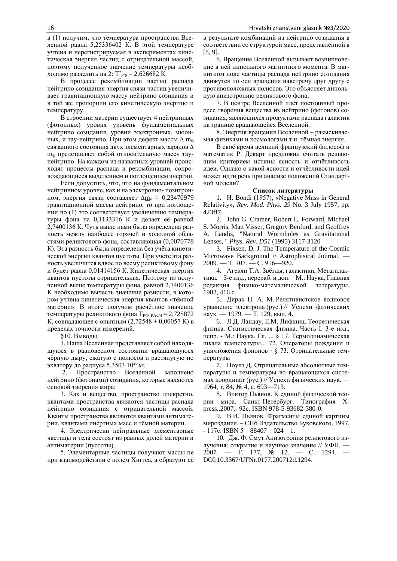в (1) получим, что температура пространства Вселенной равна 5,25336402 К. В этой температуре учтена и нерегистрируемая в экспериментах кинетическая энергия частиц с отрицательной массой, поэтому полученное значение температуры необходимо разделить на 2:  $T^*_{P\Phi} = 2{,}626682 \text{ K}.$ 

В процессе рекомбинации частиц распада нейтрино созидания энергия связи частиц увеличивает гравитационную массу нейтрино созидания и в той же пропорции его кинетическую энергию и температуру.

В строении материи существует 4 нейтринных (фотонных) уровня уровень фундаментальных нейтрино созидания, уровни электронных, мюонных, и тау-нейтрино. При этом дефект массы  $\Delta m_{\phi}$ связанного состояния двух элементарных зарядов ∆ m<sup>ф</sup> представляет собой относительную массу таунейтрино. На каждом из названных уровней происходят процессы распада и рекомбинации, сопровождающиеся выделением и поглощением энергии.

Если допустить, что, что на фундаментальном нейтринном уровне, как и на электронно- позитронном, энергия связи составляет  $\Delta m_v = 0.23470979$ гравитационной массы нейтрино, то при поглощении по (1) это соответствует увеличению температуры фона на 0,1133316 К и делает её равной 2,7400136 К. Чуть выше нами была определена разность между наиболее горячей и холодной областями реликтового фона, составляющая (0,0070778 К). Эта разность была определена без учёта кинетической энергии квантов пустоты. При учёте эта разность увеличится вдвое по всему реликтовому фону и будет равна 0,01414156 К. Кинетическая энергия квантов пустоты отрицательная. Поэтому из полученной выше температуры фона, равной 2,7400136 К необходимо вычесть значение разности, в котором учтена кинетическая энергия квантов «тёмной материи». В итоге получим расчётное значение температуры реликтового фона ТРФ. РАСЧ = 2,725872 К, совпадающее с опытным  $(2,72548 \pm 0,00057 \text{ K})$  в пределах точности измерений.

§10. Выводы.

1. Наша Вселенная представляет собой находящуюся в равновесном состоянии вращающуюся чёрную дыру, сжатую с полюсов и растянутую по экватору до радиуса 5,3503∙10<sup>26</sup>м;

2. Пространство Вселенной заполнено нейтрино (фотонами) созидания, которые являются основой творения мира;

3. Как и вещество, пространство дискретно, квантами пространства являются частицы распада нейтрино созидания с отрицательной массой. Кванты пространства являются квантами антиматерии, квантами инертных масс и тёмной материи.

4. Электрически нейтральные элементарные частицы и тела состоят из равных долей материи и антиматерии (пустоты).

5. Элементарные частицы получают массы не при взаимодействии с полем Хиггса, а образуют её в результате комбинаций из нейтрино созидания в соответствии со структурой масс, представленной в [8, 9].

6. Вращение Вселенной вызывает возникновение в ней дипольного магнитного момента. В магнитном поле частицы распада нейтрино созидания движутся по оси вращения навстречу друг другу с противоположных полюсов. Это объясняет дипольную анизотропию реликтового фона;

7. В центре Вселенной идёт постоянный процесс творения вещества из нейтрино (фотонов) созидания, являющихся продуктами распада галактик на границе вращающейся Вселенной.

8. Энергия вращения Вселенной – разыскиваемая физиками и космологами т.н. тёмная энергия.

В своё время великий французский философ и математик Р. Декарт предложил считать решающим критерием истины ясность и отчётливость идеи. Однако о какой ясности и отчётливости идей может идти речь при анализе положений Стандартной модели?

#### **Список литературы**

1. H. Bondi (1957), «Negative Mass in General Relativity», *Rev. Mod. Phys. 29* No. 3 July 1957, pp. 423ff7.

2. John G. Cramer, Robert L. Forward, Michael S. Morris, Matt Visser, Gregory Benford, and Geoffrey A. Landis, "Natural Wormholes as Gravitational Lenses, " *Phys. Rev. D51* (1995) 3117-3120

3. Fixsen, D. J. The Temperature of the Cosmic Microwave Background // Astrophisical Journal. — 2009. — Т. 707. — С. 916—920.

4. Агекян Т.А. Звёзды, галактики, Метагалактика. – 3-е изд., перераб. и доп. – М.: Наука, Главная редакция физико-математической литературы, 1982, 416 с.

5. Дирак П. А. М. [Релятивистское](http://ufn.ru/ufn79/ufn79_8/Russian/r798e.pdf) волновое [уравнение](http://ufn.ru/ufn79/ufn79_8/Russian/r798e.pdf) электрона (рус.) // Успехи физических наук. — 1979. — Т. 129, вып. 4.

6. Л.Д. Ландау, Е.М. Лифшиц. Теоретическая физика. Статистическая физика. Часть I. 3-е изд., испр. - М.: Наука. Гл. ... § 17. Термодинамическая шкала температуры... 72. Операторы рождения и уничтожения фононов · § 73. Отрицательные температуры

7. Поулз Д. Отрицательные абсолютные температуры и температуры во вращающихся системах координат (рус.) // Успехи физических наук. — 1964, т. 84, № 4, с. 693—713.

8. Виктор Пьянов. К единой физической теории мира. Санкт-Петербург. Типография Xpress.,2007,- 92с. ISBN 978-5-93682-380-0.

9. В.И. Пьянов. Фрагменты единой картины мироздания. – СПб Издательство Буковского, 1997,  $-117c$ . ISBN 5 - 88407 - 024 - 1.

10. Дж. Ф. Смут Анизотропия реликтового излучения: открытие и научное значение // УФН. — 2007. — Т. 177, № 12. — С. 1294. — DOI:10.3367/UFNr.0177.200712d.1294.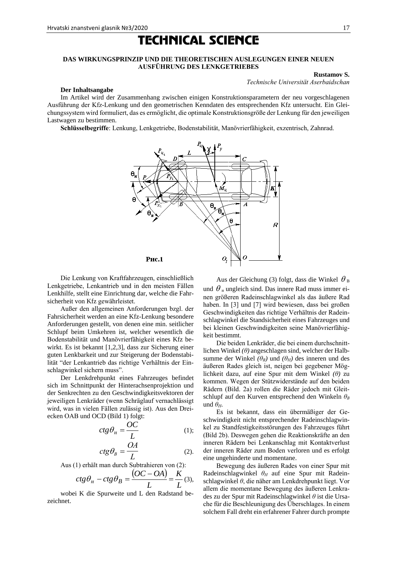# TECHNICAL SCIENCE

### **DAS WIRKUNGSPRINZIP UND DIE THEORETISCHEN AUSLEGUNGEN EINER NEUEN AUSFÜHRUNG DES LENKGETRIEBES**

#### **Rustamov S.**

*Technische Universität Aserbaidschan* 

#### **Der Inhaltsangabe**

Im Artikel wird der Zusammenhang zwischen einigen Konstruktionsparametern der neu vorgeschlagenen Ausführung der Kfz-Lenkung und den geometrischen Kenndaten des entsprechenden Kfz untersucht. Ein Gleichungssystem wird formuliert, das es ermöglicht, die optimale Konstruktionsgröße der Lenkung für den jeweiligen Lastwagen zu bestimmen.

**Schlüsselbegriffe**: Lenkung, Lenkgetriebe, Bodenstabilität, Manövrierfähigkeit, exzentrisch, Zahnrad.



Die Lenkung von Kraftfahrzeugen, einschließlich Lenkgetriebe, Lenkantrieb und in den meisten Fällen Lenkhilfe, stellt eine Einrichtung dar, welche die Fahrsicherheit von Kfz gewährleistet.

Außer den allgemeinen Anforderungen bzgl. der Fahrsicherheit werden an eine Kfz-Lenkung besondere Anforderungen gestellt, von denen eine min. seitlicher Schlupf beim Umkehren ist, welcher wesentlich die Bodenstabilität und Manövrierfähigkeit eines Kfz bewirkt. Es ist bekannt [1,2,3], dass zur Sicherung einer guten Lenkbarkeit und zur Steigerung der Bodenstabilität "der Lenkantrieb das richtige Verhältnis der Einschlagwinkel sichern muss".

Der Lenkdrehpunkt eines Fahrzeuges befindet sich im Schnittpunkt der Hinterachsenprojektion und der Senkrechten zu den Geschwindigkeitsvektoren der jeweiligen Lenkräder (wenn Schräglauf vernachlässigt wird, was in vielen Fällen zulässig ist). Aus den Dreiecken ОАВ und OCD (Bild 1) folgt:

$$
ctg\theta_n = \frac{OC}{L} \tag{1};
$$

$$
ctg\theta_B = \frac{OA}{L} \tag{2}.
$$

Aus (1) erhält man durch Subtrahieren von (2):

$$
ctg\theta_{H} - ctg\theta_{B} = \frac{(OC - OA)}{L} = \frac{K}{L}(3),
$$

wobei K die Spurweite und L den Radstand bezeichnet.

Aus der Gleichung (3) folgt, dass die Winkel  $\theta_B$ und  $\theta$ <sub>H</sub> ungleich sind. Das innere Rad muss immer einen größeren Radeinschlagwinkel als das äußere Rad haben. In [3] und [7] wird bewiesen, dass bei großen Geschwindigkeiten das richtige Verhältnis der Radeinschlagwinkel die Standsicherheit eines Fahrzeuges und bei kleinen Geschwindigkeiten seine Manövrierfähigkeit bestimmt.

Die beiden Lenkräder, die bei einem durchschnittlichen Winkel *(θ)* angeschlagen sind, welcher der Halbsumme der Winkel  $(\theta_B)$  und  $(\theta_H)$  des inneren und des äußeren Rades gleich ist, neigen bei gegebener Möglichkeit dazu, auf eine Spur mit dem Winkel *(θ)* zu kommen. Wegen der Stützwiderstände auf den beiden Rädern (Bild. 2а) rollen die Räder jedoch mit Gleitschlupf auf den Kurven entsprechend den Winkeln *θ<sup>В</sup>* und  $\theta_H$ .

Es ist bekannt, dass ein übermäßiger der Geschwindigkeit nicht entsprechender Radeinschlagwinkel zu Standfestigkeitsstörungen des Fahrzeuges führt (Bild 2b). Deswegen gehen die Reaktionskräfte an den inneren Rädern bei Lenkanschlag mit Kontaktverlust der inneren Räder zum Boden verloren und es erfolgt eine ungehinderte und momentane.

Bewegung des äußeren Rades von einer Spur mit Radeinschlagwinkel *θ<sup>Н</sup>* auf eine Spur mit Radeinschlagwinkel *θ*, die näher am Lenkdrehpunkt liegt. Vor allem die momentane Bewegung des äußeren Lenkrades zu der Spur mit Radeinschlagwinkel *θ* ist die Ursache für die Beschleunigung des Überschlages. In einem solchem Fall dreht ein erfahrener Fahrer durch prompte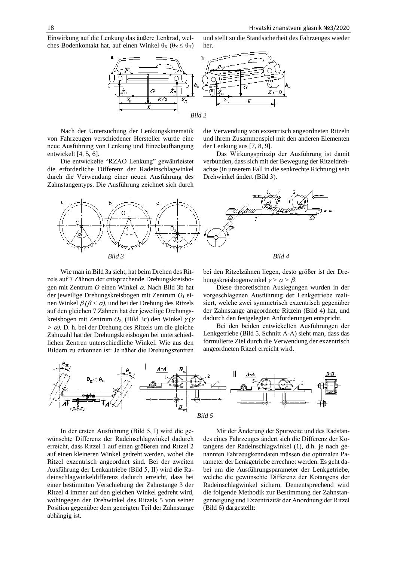Einwirkung auf die Lenkung das äußere Lenkrad, welches Bodenkontakt hat, auf einen Winkel  $\theta_X$  ( $\theta_X \leq \theta_H$ )

und stellt so die Standsicherheit des Fahrzeuges wieder her.



Nach der Untersuchung der Lenkungskinematik von Fahrzeugen verschiedener Hersteller wurde eine neue Ausführung von Lenkung und Einzelaufhängung entwickelt [4, 5, 6].

Die entwickelte "RZAO Lenkung" gewährleistet die erforderliche Differenz der Radeinschlagwinkel durch die Verwendung einer neuen Ausführung des Zahnstangentyps. Die Ausführung zeichnet sich durch

die Verwendung von exzentrisch angeordneten Ritzeln und ihrem Zusammenspiel mit den anderen Elementen der Lenkung aus [7, 8, 9].

Das Wirkungsprinzip der Ausführung ist damit verbunden, dass sich mit der Bewegung der Ritzeldrehachse (in unserem Fall in die senkrechte Richtung) sein Drehwinkel ändert (Bild 3).



Wie man in Bild 3а sieht, hat beim Drehen des Ritzels auf 7 Zähnen der entsprechende Drehungskreisbogen mit Zentrum  $O$  einen Winkel  $\alpha$ . Nach Bild 3b hat der jeweilige Drehungskreisbogen mit Zentrum *О<sup>1</sup>* einen Winkel  $\beta(\beta < \alpha)$ , und bei der Drehung des Ritzels auf den gleichen 7 Zähnen hat der jeweilige Drehungskreisbogen mit Zentrum  $O_2$ , (Bild 3c) den Winkel  $\gamma$  ( $\gamma$  $> \alpha$ ). D. h. bei der Drehung des Ritzels um die gleiche Zahnzahl hat der Drehungskreisbogen bei unterschiedlichen Zentren unterschiedliche Winkel. Wie aus den Bildern zu erkennen ist: Je näher die Drehungszentren

bei den Ritzelzähnen liegen, desto größer ist der Drehungskreisbogenwinkel  $\gamma > \alpha > \beta$ .

Diese theoretischen Auslegungen wurden in der vorgeschlagenen Ausführung der Lenkgetriebe realisiert, welche zwei symmetrisch exzentrisch gegenüber der Zahnstange angeordnete Ritzeln (Bild 4) hat, und dadurch den festgelegten Anforderungen entspricht.

Bei den beiden entwickelten Ausführungen der Lenkgetriebe (Bild 5, Schnitt А-А) sieht man, dass das formulierte Ziel durch die Verwendung der exzentrisch angeordneten Ritzel erreicht wird.



In der ersten Ausführung (Bild 5, I) wird die gewünschte Differenz der Radeinschlagwinkel dadurch erreicht, dass Ritzel 1 auf einen größeren und Ritzel 2 auf einen kleineren Winkel gedreht werden, wobei die Ritzel exzentrisch angeordnet sind. Bei der zweiten Ausführung der Lenkantriebe (Bild 5, II) wird die Radeinschlagwinkeldifferenz dadurch erreicht, dass bei einer bestimmten Verschiebung der Zahnstange 3 der Ritzel 4 immer auf den gleichen Winkel gedreht wird, wohingegen der Drehwinkel des Ritzels 5 von seiner Position gegenüber dem geneigten Teil der Zahnstange abhängig ist.

Mir der Änderung der Spurweite und des Radstandes eines Fahrzeuges ändert sich die Differenz der Kotangens der Radeinschlagwinkel (1), d.h. je nach genannten Fahrzeugkenndaten müssen die optimalen Parameter der Lenkgetriebe errechnet werden. Es geht dabei um die Ausführungsparameter der Lenkgetriebe, welche die gewünschte Differenz der Kotangens der Radeinschlagwinkel sichern. Dementsprechend wird die folgende Methodik zur Bestimmung der Zahnstangenneigung und Exzentrizität der Anordnung der Ritzel (Bild 6) dargestellt: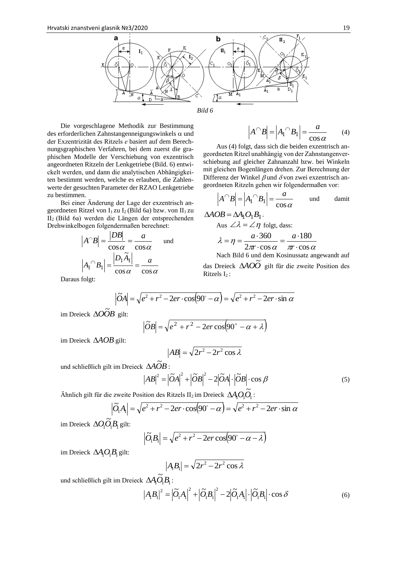

Die vorgeschlagene Methodik zur Bestimmung des erforderlichen Zahnstangenneigungswinkels  $\alpha$  und der Exzentrizität des Ritzels *е* basiert auf dem Berechnungsgraphischen Verfahren, bei dem zuerst die graphischen Modelle der Verschiebung von exzentrisch angeordneten Ritzeln der Lenkgetriebe (Bild. 6) entwickelt werden, und dann die analytischen Abhängigkeiten bestimmt werden, welche es erlauben, die Zahlenwerte der gesuchten Parameter der RZAO Lenkgetriebe zu bestimmen.

Bei einer Änderung der Lage der exzentrisch angeordneten Ritzel von  $I_1$  zu  $I_2$  (Bild 6a) bzw. von  $II_1$  zu II2 (Bild 6a) werden die Längen der entsprechenden Drehwinkelbogen folgendermaßen berechnet:

$$
|A^{\cap}B| = \frac{|DB|}{\cos \alpha} = \frac{a}{\cos \alpha} \quad \text{und}
$$

$$
|A_1^{\cap}B_1| = \frac{|D_1\tilde{A}_1|}{\cos \alpha} = \frac{a}{\cos \alpha}
$$

$$
\left| A^{\cap} B \right| = \left| A_1^{\cap} B_1 \right| = \frac{a}{\cos \alpha} \tag{4}
$$
  
colot class sich die beiden experimentisch an-

Aus (4) folgt, dass sich die beiden exzentrisch angeordneten Ritzel unabhängig von der Zahnstangenverschiebung auf gleicher Zahnanzahl bzw. bei Winkeln mit gleichen Bogenlängen drehen. Zur Berechnung der Differenz der Winkel  $\beta$  und  $\delta$  von zwei exzentrisch angeordneten Ritzeln gehen wir folgendermaßen vor:

$$
\left| A^{\cap} B \right| = \left| A_1^{\cap} B_1 \right| = \frac{a}{\cos \alpha} \quad \text{und} \quad \text{damit}
$$

$$
\Delta AOB = \Delta A_1 O_1 B_1.
$$
  
Ans  $\angle \lambda = \angle \eta$  folgt, dass:  

$$
\lambda = \eta = \frac{a \cdot 360}{2\pi r \cdot \cos \alpha} = \frac{a \cdot 180}{\pi r \cdot \cos \alpha}
$$

Nach Bild 6 und dem Kosinussatz angewandt auf

 $\alpha$ das Dreieck  $\Delta AO\tilde{O}$  gilt für die zweite Position des Ritzels  $I_2$ :

Daraus folgt:

$$
\left|\widetilde{O}A\right| = \sqrt{e^2 + r^2 - 2er \cdot \cos(90^\circ - \alpha)} = \sqrt{e^2 + r^2 - 2er \cdot \sin \alpha}
$$

im Dreieck *∆OOB* gilt:

$$
\left|\widetilde{O}B\right| = \sqrt{e^2 + r^2 - 2er\cos(90^\circ - \alpha + \lambda)}
$$

im Dreieck *AOB* gilt:

$$
|AB| = \sqrt{2r^2 - 2r^2 \cos \lambda}
$$

und schließlich gilt im Dreieck  $\triangle A \widetilde{O} B$ :

$$
AB|^2 = |\tilde{O}A|^2 + |\tilde{O}B|^2 - 2|\tilde{O}A| \cdot |\tilde{O}B| \cdot \cos \beta
$$
  
ion des Ritzels II<sub>2</sub> im Dreieck  $\Delta A_1 O_1 \tilde{O}_1$ : (5)

Ähnlich gilt für die zweite Position des Ritzels II2 im Dreieck  $\Delta\!A_{\rm l}O_{\rm l}O_{\rm l}$ 

$$
\left|\tilde{O}_1A_1\right| = \sqrt{e^2 + r^2 - 2er \cdot \cos(90^\circ - \alpha)} = \sqrt{e^2 + r^2 - 2er \cdot \sin \alpha}
$$

im Dreieck  $\Delta O_\mathrm{l} O_\mathrm{l} B_\mathrm{l}$  $\Delta O$ <sub>1</sub> $\widetilde{O}$ <sub>1</sub> $B$ <sub>1</sub> gilt:

$$
\left|\widetilde{O}_1B_1\right| = \sqrt{e^2 + r^2 - 2er\cos(90^\circ - \alpha - \lambda)}
$$

im Dreieck  $\Delta A_1 O_1 B_1$  gilt:

$$
|A_1B_1|=\sqrt{2r^2-2r^2\cos\lambda}
$$

und schließlich gilt im Dreieck  $\Delta A_1 O_1 B_1$  $\Delta A_i \widetilde{O}_1 B_i$  :

$$
|A_1B_1|^2 = |\tilde{O}_1A_1|^2 + |\tilde{O}_1B_1|^2 - 2|\tilde{O}_1A_1| \cdot |\tilde{O}_1B_1| \cdot \cos \delta
$$
\n(6)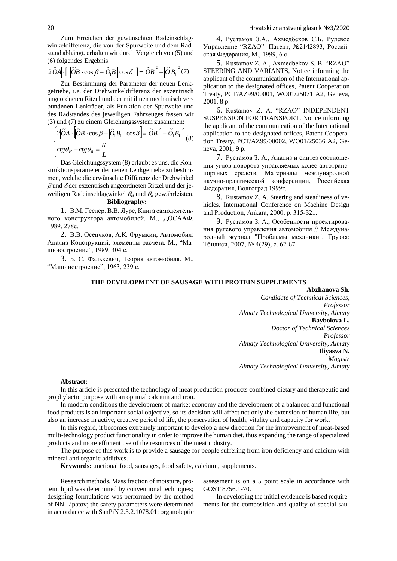Zum Erreichen der gewünschten Radeinschlagwinkeldifferenz, die von der Spurweite und dem Radstand abhängt, erhalten wir durch Vergleich von (5) und (6) folgendes Ergebnis.

$$
2\left|\widetilde{O}A\right|\cdot\left[\left|\widetilde{O}B\right|\cdot\cos\beta-\left|\widetilde{O}_1B_1\right|\cos\delta\right]=\left|\widetilde{O}B\right|^2-\left|\widetilde{O}_1B_1\right|^2(7)
$$

Zur Bestimmung der Parameter der neuen Lenkgetriebe, i.e. der Drehwinkeldifferenz der exzentrisch angeordneten Ritzel und der mit ihnen mechanisch verbundenen Lenkräder, als Funktion der Spurweite und des Radstandes des jeweiligen Fahrzeuges fassen wir (3) und (7) zu einem Gleichungssystem zusammen:

$$
\begin{cases} 2|\widetilde{O}A| \cdot |\widetilde{O}B| \cdot \cos \beta - |\widetilde{O}_1B_1| \cdot \cos \delta \end{cases} = |\widetilde{O}B|^2 - |\widetilde{O}_1B_1|^2 \frac{8}{(8)} \nctg \theta_H - ctg \theta_B = \frac{K}{L}
$$

Das Gleichungssystem (8) erlaubt es uns, die Konstruktionsparameter der neuen Lenkgetriebe zu bestimmen, welche die erwünschte Differenz der Drehwinkel  $\beta$  und  $\delta$  der exzentrisch angeordneten Ritzel und der jeweiligen Radeinschlagwinkel  $\theta_H$  und  $\theta_B$  gewährleisten.

## **Bibliography:**

1. В.М. Геслер. В.В. Яуре, Книга самодеятельного конструктора автомобилей. М., ДОСААФ, 1989, 278с.

2. В.В. Осепчков, А.К. Фрумкин, Автомобил: Анализ Конструкций, элементы расчета. М., "Машиностроение", 1989, 304 с.

3. Б. С. Фалькевич, Теория автомобиля. М., "Машиностроение", 1963, 239 с.

4. Рустамов З.А., Ахмедбеков С.Б. Рулевое Управление "RZAO". Патент, №2142893, Российская Федерация, М., 1999, 6 с

5. Rustamov Z. A., Axmedbekov S. B. "RZAO" STEERING AND VARIANTS, Notice informing the applicant of the communication of the International application to the designated offices, Patent Cooperation Treaty, PCT/AZ99/00001, WO01/25071 A2, Geneva, 2001, 8 p.

6. Rustamov Z. A. "RZAO" INDEPENDENT SUSPENSION FOR TRANSPORT. Notice informing the applicant of the communication of the International application to the designated offices, Patent Cooperation Treaty, PCT/AZ99/00002, WO01/25036 A2, Geneva, 2001, 9 p.

7. Рустамов З. А., Анализ и синтез соотношения углов поворота управляемых колес автотранспортных средств, Материалы международной научно-практической конференции, Российская Федерация, Волгоград 1999г.

8. Rustamov Z. A. Steering and steadiness of vehicles. International Conference on Machine Design and Production, Ankara, 2000, р. 315-321.

9. Рустамов З. А., Особенности проектирования рулевого управления автомобиля // Международный журнал "Проблемы механики". Грузия: Тбилиси, 2007, № 4(29), с. 62-67.

## **THE DEVELOPMENT OF SAUSAGE WITH PROTEIN SUPPLEMENTS**

**Abzhanova Sh.** *Candidate of Technical Sciences, Professor Almaty Technological University, Almaty* **Baybolova L.**  *Doctor of Technical Sciences Professor Almaty Technological University, Almaty* **Iliyasva N.** *Magistr Almaty Technological University, Almaty*

### **Abstract:**

In this article is presented the technology of meat production products combined dietary and therapeutic and prophylactic purpose with an optimal calcium and iron.

In modern conditions the development of market economy and the development of a balanced and functional food products is an important social objective, so its decision will affect not only the extension of human life, but also an increase in active, creative period of life, the preservation of health, vitality and capacity for work.

In this regard, it becomes extremely important to develop a new direction for the improvement of meat-based multi-technology product functionality in order to improve the human diet, thus expanding the range of specialized products and more efficient use of the resources of the meat industry.

The purpose of this work is to provide a sausage for people suffering from iron deficiency and calcium with mineral and organic additives.

**Keywords:** unctional food, sausages, food safety, calcium , supplements.

Research methods. Mass fraction of moisture, protein, lipid was determined by conventional techniques; designing formulations was performed by the method of NN Lipatov; the safety parameters were determined in accordance with SanPiN 2.3.2.1078.01; organoleptic assessment is on a 5 point scale in accordance with GOST 8756.1-70.

In developing the initial evidence is based requirements for the composition and quality of special sau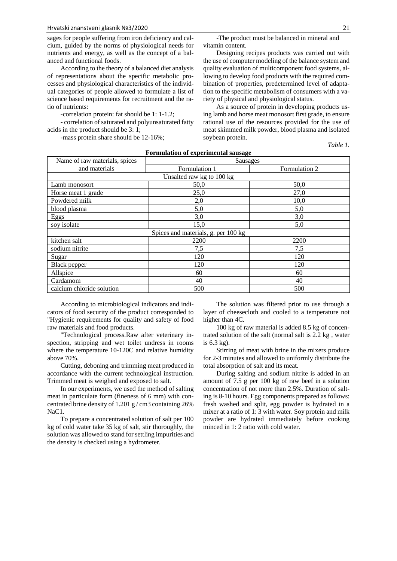sages for people suffering from iron deficiency and calcium, guided by the norms of physiological needs for nutrients and energy, as well as the concept of a balanced and functional foods.

According to the theory of a balanced diet analysis of representations about the specific metabolic processes and physiological characteristics of the individual categories of people allowed to formulate a list of science based requirements for recruitment and the ratio of nutrients:

-correlation protein: fat should be 1: 1-1.2;

- correlation of saturated and polyunsaturated fatty acids in the product should be 3: 1;

-mass protein share should be 12-16%;

-The product must be balanced in mineral and vitamin content.

Designing recipes products was carried out with the use of computer modeling of the balance system and quality evaluation of multicomponent food systems, allowing to develop food products with the required combination of properties, predetermined level of adaptation to the specific metabolism of consumers with a variety of physical and physiological status.

As a source of protein in developing products using lamb and horse meat monosort first grade, to ensure rational use of the resources provided for the use of meat skimmed milk powder, blood plasma and isolated soybean protein.

*Table 1.*

|                                     | т огнинанон ог схрегинений зайзаде |      |  |  |  |  |  |
|-------------------------------------|------------------------------------|------|--|--|--|--|--|
| Name of raw materials, spices       | Sausages                           |      |  |  |  |  |  |
| and materials                       | Formulation 1<br>Formulation 2     |      |  |  |  |  |  |
| Unsalted raw kg to 100 kg           |                                    |      |  |  |  |  |  |
| Lamb monosort                       | 50,0                               | 50,0 |  |  |  |  |  |
| Horse meat 1 grade                  | 25,0                               | 27,0 |  |  |  |  |  |
| Powdered milk                       | 2,0                                | 10,0 |  |  |  |  |  |
| blood plasma                        | 5,0                                | 5,0  |  |  |  |  |  |
| Eggs                                | 3,0                                | 3,0  |  |  |  |  |  |
| soy isolate                         | 15,0                               | 5,0  |  |  |  |  |  |
| Spices and materials, g. per 100 kg |                                    |      |  |  |  |  |  |
| kitchen salt                        | 2200                               | 2200 |  |  |  |  |  |
| sodium nitrite                      | 7,5                                | 7,5  |  |  |  |  |  |
| Sugar                               | 120                                | 120  |  |  |  |  |  |
| Black pepper                        | 120                                | 120  |  |  |  |  |  |
| Allspice                            | 60                                 | 60   |  |  |  |  |  |
| Cardamom                            | 40                                 | 40   |  |  |  |  |  |
| calcium chloride solution           | 500                                | 500  |  |  |  |  |  |

### **Formulation of experimental sausage**

According to microbiological indicators and indicators of food security of the product corresponded to "Hygienic requirements for quality and safety of food raw materials and food products.

"Technological process.Raw after veterinary inspection, stripping and wet toilet undress in rooms where the temperature 10-120C and relative humidity above 70%.

Cutting, deboning and trimming meat produced in accordance with the current technological instruction. Trimmed meat is weighed and exposed to salt.

In our experiments, we used the method of salting meat in particulate form (fineness of 6 mm) with concentrated brine density of 1.201 g / cm3 containing 26% NaC1.

To prepare a concentrated solution of salt per 100 kg of cold water take 35 kg of salt, stir thoroughly, the solution was allowed to stand for settling impurities and the density is checked using a hydrometer.

The solution was filtered prior to use through a layer of cheesecloth and cooled to a temperature not higher than 4C.

100 kg of raw material is added 8.5 kg of concentrated solution of the salt (normal salt is 2.2 kg , water is 6.3 kg).

Stirring of meat with brine in the mixers produce for 2-3 minutes and allowed to uniformly distribute the total absorption of salt and its meat.

During salting and sodium nitrite is added in an amount of 7.5 g per 100 kg of raw beef in a solution concentration of not more than 2.5%. Duration of salting is 8-10 hours. Egg components prepared as follows: fresh washed and split, egg powder is hydrated in a mixer at a ratio of 1: 3 with water. Soy protein and milk powder are hydrated immediately before cooking minced in 1: 2 ratio with cold water.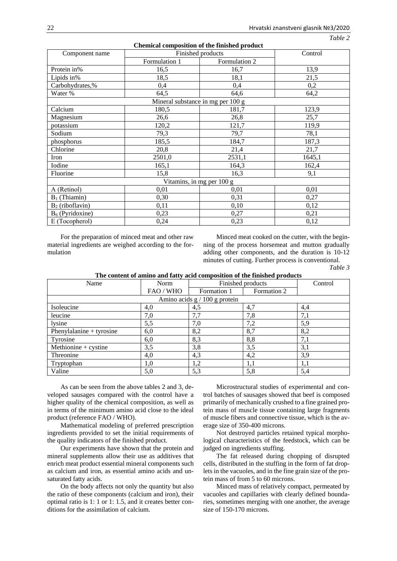#### *Table 2*

| Chemical composition of the finished product |                   |               |        |  |  |  |  |
|----------------------------------------------|-------------------|---------------|--------|--|--|--|--|
| Component name                               | Finished products |               |        |  |  |  |  |
|                                              | Formulation 1     | Formulation 2 |        |  |  |  |  |
| Protein in%                                  | 16,5              | 16,7          | 13,9   |  |  |  |  |
| Lipids in%                                   | 18,5              | 18,1          | 21,5   |  |  |  |  |
| Carbohydrates,%                              | 0,4               | 0,4           | 0,2    |  |  |  |  |
| Water %                                      | 64,5              | 64,6          | 64,2   |  |  |  |  |
| Mineral substance in mg per 100 g            |                   |               |        |  |  |  |  |
| Calcium                                      | 180,5             | 181,7         | 123,9  |  |  |  |  |
| Magnesium                                    | 26,6              | 26,8          | 25,7   |  |  |  |  |
| potassium                                    | 120,2             | 121,7         | 119,9  |  |  |  |  |
| Sodium                                       | 79,3              | 79,7          | 78,1   |  |  |  |  |
| phosphorus                                   | 185,5             | 184,7         | 187,3  |  |  |  |  |
| Chlorine                                     | 20,8              | 21,4          | 21,7   |  |  |  |  |
| Iron                                         | 2501,0            | 2531,1        | 1645,1 |  |  |  |  |
| Iodine                                       | 165,1             | 164,3         | 162,4  |  |  |  |  |
| Fluorine                                     | 15,8              | 16,3          | 9,1    |  |  |  |  |
| Vitamins, in mg per 100 g                    |                   |               |        |  |  |  |  |
| A (Retinol)                                  | 0,01              | 0,01          | 0,01   |  |  |  |  |
| $B_1$ (Thiamin)                              | 0,30              | 0,31          | 0,27   |  |  |  |  |
| $B_2$ (riboflavin)                           | 0,11              | 0,10          | 0,12   |  |  |  |  |
| $B_6$ (Pyridoxine)                           | 0,23              | 0,27          | 0,21   |  |  |  |  |
| E (Tocopherol)                               | 0,24              | 0,23          | 0,12   |  |  |  |  |

For the preparation of minced meat and other raw material ingredients are weighed according to the formulation

Minced meat cooked on the cutter, with the beginning of the process horsemeat and mutton gradually adding other components, and the duration is 10-12 minutes of cutting. Further process is conventional.

*Table 3*

| The content of amino and fatty acid composition of the finished products |           |                   |             |         |  |  |
|--------------------------------------------------------------------------|-----------|-------------------|-------------|---------|--|--|
| Name                                                                     | Norm      | Finished products |             | Control |  |  |
|                                                                          | FAO / WHO | Formation 1       | Formation 2 |         |  |  |
| Amino acids g / 100 g protein                                            |           |                   |             |         |  |  |
| Isoleucine                                                               | 4,0       | 4,5               | 4,7         | 4.4     |  |  |
| leucine                                                                  | 7,0       | 7,7               | 7,8         | 7,1     |  |  |
| lysine                                                                   | 5,5       | 7,0               | 7,2         | 5,9     |  |  |
| Phenylalanine + tyrosine                                                 | 6,0       | 8,2               | 8,7         | 8,2     |  |  |
| Tyrosine                                                                 | 6,0       | 8,3               | 8,8         | 7,1     |  |  |
| Methionine + cystine                                                     | 3,5       | 3,8               | 3,5         | 3,1     |  |  |
| Threonine                                                                | 4,0       | 4.3               | 4,2         | 3,9     |  |  |
| Tryptophan                                                               | 1,0       | 1,2               | 1,1         | 1,1     |  |  |
| Valine                                                                   | 5,0       | 5,3               | 5,8         | 5,4     |  |  |
|                                                                          |           |                   |             |         |  |  |

As can be seen from the above tables 2 and 3, developed sausages compared with the control have a higher quality of the chemical composition, as well as in terms of the minimum amino acid close to the ideal product (reference FAO / WHO).

Mathematical modeling of preferred prescription ingredients provided to set the initial requirements of the quality indicators of the finished product.

Our experiments have shown that the protein and mineral supplements allow their use as additives that enrich meat product essential mineral components such as calcium and iron, as essential amino acids and unsaturated fatty acids.

On the body affects not only the quantity but also the ratio of these components (calcium and iron), their optimal ratio is 1: 1 or 1: 1.5, and it creates better conditions for the assimilation of calcium.

Microstructural studies of experimental and control batches of sausages showed that beef is composed primarily of mechanically crushed to a fine grained protein mass of muscle tissue containing large fragments of muscle fibers and connective tissue, which is the average size of 350-400 microns.

Not destroyed particles retained typical morphological characteristics of the feedstock, which can be judged on ingredients stuffing.

The fat released during chopping of disrupted cells, distributed in the stuffing in the form of fat droplets in the vacuoles, and in the fine grain size of the protein mass of from 5 to 60 microns.

Minced mass of relatively compact, permeated by vacuoles and capillaries with clearly defined boundaries, sometimes merging with one another, the average size of 150-170 microns.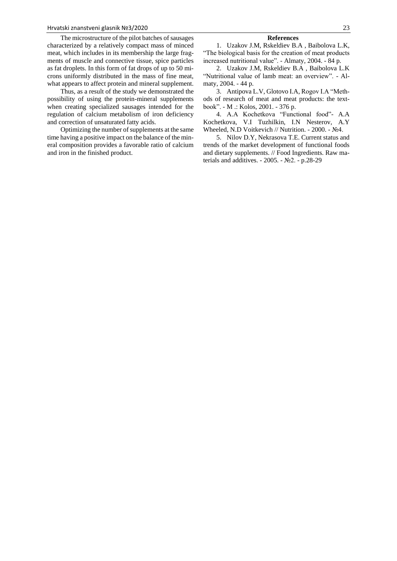The microstructure of the pilot batches of sausages characterized by a relatively compact mass of minced meat, which includes in its membership the large fragments of muscle and connective tissue, spice particles as fat droplets. In this form of fat drops of up to 50 microns uniformly distributed in the mass of fine meat, what appears to affect protein and mineral supplement.

Thus, as a result of the study we demonstrated the possibility of using the protein-mineral supplements when creating specialized sausages intended for the regulation of calcium metabolism of iron deficiency and correction of unsaturated fatty acids.

Optimizing the number of supplements at the same time having a positive impact on the balance of the mineral composition provides a favorable ratio of calcium and iron in the finished product.

#### **References**

1. Uzakov J.M, Rskeldiev B.A , Baibolova L.K, "The biological basis for the creation of meat products increased nutritional value". - Almaty, 2004. - 84 p.

2. Uzakov J.M, Rskeldiev B.A , Baibolova L.K "Nutritional value of lamb meat: an overview". - Almaty, 2004. - 44 p.

3. Antipova L.V, Glotovo I.A, Rogov I.A "Methods of research of meat and meat products: the textbook". - M .: Kolos, 2001. - 376 p.

4. A.A Kochetkova "Functional food"- A.A Kochetkova, V.I Tuzhilkin, I.N Nesterov, A.Y Wheeled, N.D Voitkevich // Nutrition. - 2000. - №4.

5. Nilov D.Y, Nekrasova T.E. Current status and trends of the market development of functional foods and dietary supplements. // Food Ingredients. Raw materials and additives. - 2005. - №2. - p.28-29